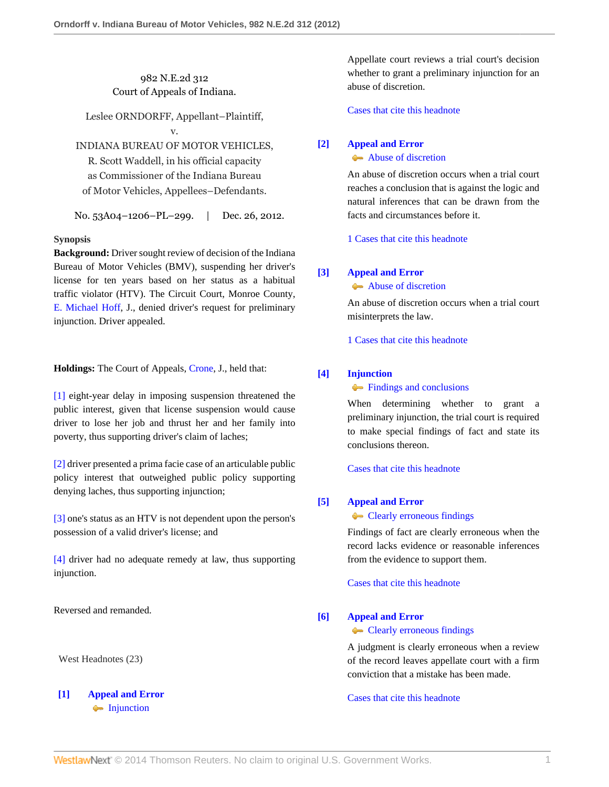# 982 N.E.2d 312 Court of Appeals of Indiana.

Leslee ORNDORFF, Appellant–Plaintiff, v.

INDIANA BUREAU OF MOTOR VEHICLES,

R. Scott Waddell, in his official capacity as Commissioner of the Indiana Bureau of Motor Vehicles, Appellees–Defendants.

No. 53A04–1206–PL–299. | Dec. 26, 2012.

# **Synopsis**

**Background:** Driver sought review of decision of the Indiana Bureau of Motor Vehicles (BMV), suspending her driver's license for ten years based on her status as a habitual traffic violator (HTV). The Circuit Court, Monroe County, [E. Michael Hoff](http://www.westlaw.com/Link/Document/FullText?findType=h&pubNum=176284&cite=0154998101&originatingDoc=Ie338149150a711e2900d8cbbe5df030a&refType=RQ&originationContext=document&vr=3.0&rs=cblt1.0&transitionType=DocumentItem&contextData=(sc.Search)), J., denied driver's request for preliminary injunction. Driver appealed.

**Holdings:** The Court of Appeals, [Crone,](http://www.westlaw.com/Link/Document/FullText?findType=h&pubNum=176284&cite=0132363101&originatingDoc=Ie338149150a711e2900d8cbbe5df030a&refType=RQ&originationContext=document&vr=3.0&rs=cblt1.0&transitionType=DocumentItem&contextData=(sc.Search)) J., held that:

[\[1\]](#page-2-0) eight-year delay in imposing suspension threatened the public interest, given that license suspension would cause driver to lose her job and thrust her and her family into poverty, thus supporting driver's claim of laches;

[\[2\]](#page-2-1) driver presented a prima facie case of an articulable public policy interest that outweighed public policy supporting denying laches, thus supporting injunction;

[\[3\]](#page-2-2) one's status as an HTV is not dependent upon the person's possession of a valid driver's license; and

[\[4\]](#page-3-0) driver had no adequate remedy at law, thus supporting injunction.

Reversed and remanded.

West Headnotes (23)

# <span id="page-0-0"></span>**[\[1\]](#page-6-0) [Appeal and Error](http://www.westlaw.com/Browse/Home/KeyNumber/30/View.html?docGuid=Ie338149150a711e2900d8cbbe5df030a&originationContext=document&vr=3.0&rs=cblt1.0&transitionType=DocumentItem&contextData=(sc.Search))** • [Injunction](http://www.westlaw.com/Browse/Home/KeyNumber/30k954/View.html?docGuid=Ie338149150a711e2900d8cbbe5df030a&originationContext=document&vr=3.0&rs=cblt1.0&transitionType=DocumentItem&contextData=(sc.Search))

Appellate court reviews a trial court's decision whether to grant a preliminary injunction for an abuse of discretion.

[Cases that cite this headnote](http://www.westlaw.com/Link/RelatedInformation/DocHeadnoteLink?docGuid=Ie338149150a711e2900d8cbbe5df030a&headnoteId=202952970100120130529024644&originationContext=document&vr=3.0&rs=cblt1.0&transitionType=CitingReferences&contextData=(sc.Search))

# <span id="page-0-1"></span>**[\[2\]](#page-6-1) [Appeal and Error](http://www.westlaw.com/Browse/Home/KeyNumber/30/View.html?docGuid=Ie338149150a711e2900d8cbbe5df030a&originationContext=document&vr=3.0&rs=cblt1.0&transitionType=DocumentItem&contextData=(sc.Search))**

### [Abuse of discretion](http://www.westlaw.com/Browse/Home/KeyNumber/30k946/View.html?docGuid=Ie338149150a711e2900d8cbbe5df030a&originationContext=document&vr=3.0&rs=cblt1.0&transitionType=DocumentItem&contextData=(sc.Search))

An abuse of discretion occurs when a trial court reaches a conclusion that is against the logic and natural inferences that can be drawn from the facts and circumstances before it.

[1 Cases that cite this headnote](http://www.westlaw.com/Link/RelatedInformation/DocHeadnoteLink?docGuid=Ie338149150a711e2900d8cbbe5df030a&headnoteId=202952970100220130529024644&originationContext=document&vr=3.0&rs=cblt1.0&transitionType=CitingReferences&contextData=(sc.Search))

# <span id="page-0-2"></span>**[\[3\]](#page-6-2) [Appeal and Error](http://www.westlaw.com/Browse/Home/KeyNumber/30/View.html?docGuid=Ie338149150a711e2900d8cbbe5df030a&originationContext=document&vr=3.0&rs=cblt1.0&transitionType=DocumentItem&contextData=(sc.Search))**

[Abuse of discretion](http://www.westlaw.com/Browse/Home/KeyNumber/30k946/View.html?docGuid=Ie338149150a711e2900d8cbbe5df030a&originationContext=document&vr=3.0&rs=cblt1.0&transitionType=DocumentItem&contextData=(sc.Search))

An abuse of discretion occurs when a trial court misinterprets the law.

[1 Cases that cite this headnote](http://www.westlaw.com/Link/RelatedInformation/DocHeadnoteLink?docGuid=Ie338149150a711e2900d8cbbe5df030a&headnoteId=202952970100320130529024644&originationContext=document&vr=3.0&rs=cblt1.0&transitionType=CitingReferences&contextData=(sc.Search))

# <span id="page-0-3"></span>**[\[4\]](#page-6-3) [Injunction](http://www.westlaw.com/Browse/Home/KeyNumber/212/View.html?docGuid=Ie338149150a711e2900d8cbbe5df030a&originationContext=document&vr=3.0&rs=cblt1.0&transitionType=DocumentItem&contextData=(sc.Search))**

**[Findings and conclusions](http://www.westlaw.com/Browse/Home/KeyNumber/212k1596/View.html?docGuid=Ie338149150a711e2900d8cbbe5df030a&originationContext=document&vr=3.0&rs=cblt1.0&transitionType=DocumentItem&contextData=(sc.Search))** 

When determining whether to grant a preliminary injunction, the trial court is required to make special findings of fact and state its conclusions thereon.

[Cases that cite this headnote](http://www.westlaw.com/Link/RelatedInformation/DocHeadnoteLink?docGuid=Ie338149150a711e2900d8cbbe5df030a&headnoteId=202952970100420130529024644&originationContext=document&vr=3.0&rs=cblt1.0&transitionType=CitingReferences&contextData=(sc.Search))

# <span id="page-0-4"></span>**[\[5\]](#page-6-4) [Appeal and Error](http://www.westlaw.com/Browse/Home/KeyNumber/30/View.html?docGuid=Ie338149150a711e2900d8cbbe5df030a&originationContext=document&vr=3.0&rs=cblt1.0&transitionType=DocumentItem&contextData=(sc.Search))**

**[Clearly erroneous findings](http://www.westlaw.com/Browse/Home/KeyNumber/30k1008.1(5)/View.html?docGuid=Ie338149150a711e2900d8cbbe5df030a&originationContext=document&vr=3.0&rs=cblt1.0&transitionType=DocumentItem&contextData=(sc.Search))** 

Findings of fact are clearly erroneous when the record lacks evidence or reasonable inferences from the evidence to support them.

[Cases that cite this headnote](http://www.westlaw.com/Link/RelatedInformation/DocHeadnoteLink?docGuid=Ie338149150a711e2900d8cbbe5df030a&headnoteId=202952970100520130529024644&originationContext=document&vr=3.0&rs=cblt1.0&transitionType=CitingReferences&contextData=(sc.Search))

# <span id="page-0-5"></span>**[\[6\]](#page-6-5) [Appeal and Error](http://www.westlaw.com/Browse/Home/KeyNumber/30/View.html?docGuid=Ie338149150a711e2900d8cbbe5df030a&originationContext=document&vr=3.0&rs=cblt1.0&transitionType=DocumentItem&contextData=(sc.Search))**

**[Clearly erroneous findings](http://www.westlaw.com/Browse/Home/KeyNumber/30k1008.1(5)/View.html?docGuid=Ie338149150a711e2900d8cbbe5df030a&originationContext=document&vr=3.0&rs=cblt1.0&transitionType=DocumentItem&contextData=(sc.Search))** 

A judgment is clearly erroneous when a review of the record leaves appellate court with a firm conviction that a mistake has been made.

[Cases that cite this headnote](http://www.westlaw.com/Link/RelatedInformation/DocHeadnoteLink?docGuid=Ie338149150a711e2900d8cbbe5df030a&headnoteId=202952970100620130529024644&originationContext=document&vr=3.0&rs=cblt1.0&transitionType=CitingReferences&contextData=(sc.Search))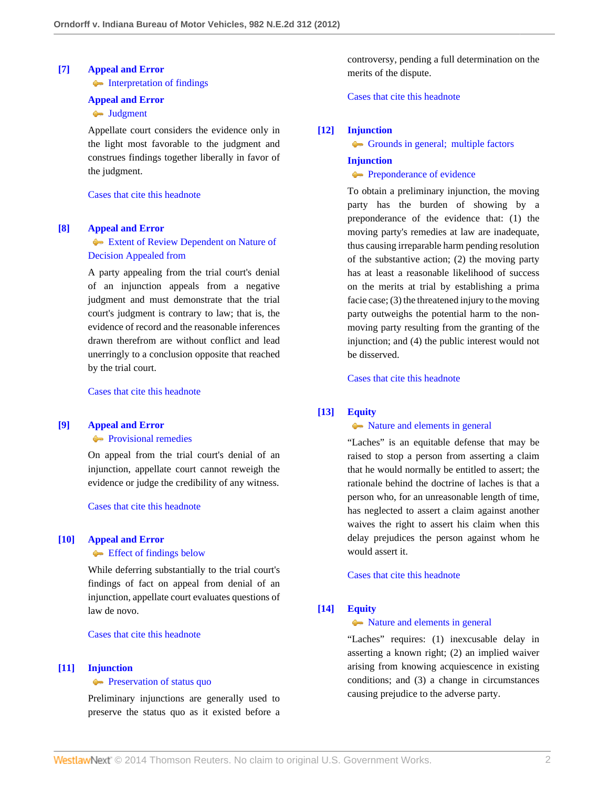### <span id="page-1-0"></span>**[\[7\]](#page-6-6) [Appeal and Error](http://www.westlaw.com/Browse/Home/KeyNumber/30/View.html?docGuid=Ie338149150a711e2900d8cbbe5df030a&originationContext=document&vr=3.0&rs=cblt1.0&transitionType=DocumentItem&contextData=(sc.Search))**

• [Interpretation of findings](http://www.westlaw.com/Browse/Home/KeyNumber/30k931(8)/View.html?docGuid=Ie338149150a711e2900d8cbbe5df030a&originationContext=document&vr=3.0&rs=cblt1.0&transitionType=DocumentItem&contextData=(sc.Search))

#### **[Appeal and Error](http://www.westlaw.com/Browse/Home/KeyNumber/30/View.html?docGuid=Ie338149150a711e2900d8cbbe5df030a&originationContext=document&vr=3.0&rs=cblt1.0&transitionType=DocumentItem&contextData=(sc.Search))**

# **[Judgment](http://www.westlaw.com/Browse/Home/KeyNumber/30k934/View.html?docGuid=Ie338149150a711e2900d8cbbe5df030a&originationContext=document&vr=3.0&rs=cblt1.0&transitionType=DocumentItem&contextData=(sc.Search))**

Appellate court considers the evidence only in the light most favorable to the judgment and construes findings together liberally in favor of the judgment.

### [Cases that cite this headnote](http://www.westlaw.com/Link/RelatedInformation/DocHeadnoteLink?docGuid=Ie338149150a711e2900d8cbbe5df030a&headnoteId=202952970100720130529024644&originationContext=document&vr=3.0&rs=cblt1.0&transitionType=CitingReferences&contextData=(sc.Search))

#### <span id="page-1-1"></span>**[\[8\]](#page-6-7) [Appeal and Error](http://www.westlaw.com/Browse/Home/KeyNumber/30/View.html?docGuid=Ie338149150a711e2900d8cbbe5df030a&originationContext=document&vr=3.0&rs=cblt1.0&transitionType=DocumentItem&contextData=(sc.Search))**

# [Extent of Review Dependent on Nature of](http://www.westlaw.com/Browse/Home/KeyNumber/30k862/View.html?docGuid=Ie338149150a711e2900d8cbbe5df030a&originationContext=document&vr=3.0&rs=cblt1.0&transitionType=DocumentItem&contextData=(sc.Search)) [Decision Appealed from](http://www.westlaw.com/Browse/Home/KeyNumber/30k862/View.html?docGuid=Ie338149150a711e2900d8cbbe5df030a&originationContext=document&vr=3.0&rs=cblt1.0&transitionType=DocumentItem&contextData=(sc.Search))

A party appealing from the trial court's denial of an injunction appeals from a negative judgment and must demonstrate that the trial court's judgment is contrary to law; that is, the evidence of record and the reasonable inferences drawn therefrom are without conflict and lead unerringly to a conclusion opposite that reached by the trial court.

[Cases that cite this headnote](http://www.westlaw.com/Link/RelatedInformation/DocHeadnoteLink?docGuid=Ie338149150a711e2900d8cbbe5df030a&headnoteId=202952970100820130529024644&originationContext=document&vr=3.0&rs=cblt1.0&transitionType=CitingReferences&contextData=(sc.Search))

# <span id="page-1-2"></span>**[\[9\]](#page-6-8) [Appeal and Error](http://www.westlaw.com/Browse/Home/KeyNumber/30/View.html?docGuid=Ie338149150a711e2900d8cbbe5df030a&originationContext=document&vr=3.0&rs=cblt1.0&transitionType=DocumentItem&contextData=(sc.Search))**

**[Provisional remedies](http://www.westlaw.com/Browse/Home/KeyNumber/30k1024.2/View.html?docGuid=Ie338149150a711e2900d8cbbe5df030a&originationContext=document&vr=3.0&rs=cblt1.0&transitionType=DocumentItem&contextData=(sc.Search))** 

On appeal from the trial court's denial of an injunction, appellate court cannot reweigh the evidence or judge the credibility of any witness.

### [Cases that cite this headnote](http://www.westlaw.com/Link/RelatedInformation/DocHeadnoteLink?docGuid=Ie338149150a711e2900d8cbbe5df030a&headnoteId=202952970100920130529024644&originationContext=document&vr=3.0&rs=cblt1.0&transitionType=CitingReferences&contextData=(sc.Search))

#### <span id="page-1-3"></span>**[\[10\]](#page-6-9) [Appeal and Error](http://www.westlaw.com/Browse/Home/KeyNumber/30/View.html?docGuid=Ie338149150a711e2900d8cbbe5df030a&originationContext=document&vr=3.0&rs=cblt1.0&transitionType=DocumentItem&contextData=(sc.Search))**

**[Effect of findings below](http://www.westlaw.com/Browse/Home/KeyNumber/30k895(2)/View.html?docGuid=Ie338149150a711e2900d8cbbe5df030a&originationContext=document&vr=3.0&rs=cblt1.0&transitionType=DocumentItem&contextData=(sc.Search))** 

While deferring substantially to the trial court's findings of fact on appeal from denial of an injunction, appellate court evaluates questions of law de novo.

[Cases that cite this headnote](http://www.westlaw.com/Link/RelatedInformation/DocHeadnoteLink?docGuid=Ie338149150a711e2900d8cbbe5df030a&headnoteId=202952970101020130529024644&originationContext=document&vr=3.0&rs=cblt1.0&transitionType=CitingReferences&contextData=(sc.Search))

#### <span id="page-1-4"></span>**[\[11\]](#page-6-10) [Injunction](http://www.westlaw.com/Browse/Home/KeyNumber/212/View.html?docGuid=Ie338149150a711e2900d8cbbe5df030a&originationContext=document&vr=3.0&rs=cblt1.0&transitionType=DocumentItem&contextData=(sc.Search))**

#### **[Preservation of status quo](http://www.westlaw.com/Browse/Home/KeyNumber/212k1074/View.html?docGuid=Ie338149150a711e2900d8cbbe5df030a&originationContext=document&vr=3.0&rs=cblt1.0&transitionType=DocumentItem&contextData=(sc.Search))**

Preliminary injunctions are generally used to preserve the status quo as it existed before a controversy, pending a full determination on the merits of the dispute.

[Cases that cite this headnote](http://www.westlaw.com/Link/RelatedInformation/DocHeadnoteLink?docGuid=Ie338149150a711e2900d8cbbe5df030a&headnoteId=202952970101120130529024644&originationContext=document&vr=3.0&rs=cblt1.0&transitionType=CitingReferences&contextData=(sc.Search))

#### <span id="page-1-5"></span>**[\[12\]](#page-6-11) [Injunction](http://www.westlaw.com/Browse/Home/KeyNumber/212/View.html?docGuid=Ie338149150a711e2900d8cbbe5df030a&originationContext=document&vr=3.0&rs=cblt1.0&transitionType=DocumentItem&contextData=(sc.Search))**

[Grounds in general; multiple factors](http://www.westlaw.com/Browse/Home/KeyNumber/212k1092/View.html?docGuid=Ie338149150a711e2900d8cbbe5df030a&originationContext=document&vr=3.0&rs=cblt1.0&transitionType=DocumentItem&contextData=(sc.Search))

# **[Injunction](http://www.westlaw.com/Browse/Home/KeyNumber/212/View.html?docGuid=Ie338149150a711e2900d8cbbe5df030a&originationContext=document&vr=3.0&rs=cblt1.0&transitionType=DocumentItem&contextData=(sc.Search)) [Preponderance of evidence](http://www.westlaw.com/Browse/Home/KeyNumber/212k1571/View.html?docGuid=Ie338149150a711e2900d8cbbe5df030a&originationContext=document&vr=3.0&rs=cblt1.0&transitionType=DocumentItem&contextData=(sc.Search))**

To obtain a preliminary injunction, the moving party has the burden of showing by a preponderance of the evidence that: (1) the moving party's remedies at law are inadequate, thus causing irreparable harm pending resolution of the substantive action; (2) the moving party has at least a reasonable likelihood of success on the merits at trial by establishing a prima facie case; (3) the threatened injury to the moving party outweighs the potential harm to the nonmoving party resulting from the granting of the injunction; and (4) the public interest would not be disserved.

[Cases that cite this headnote](http://www.westlaw.com/Link/RelatedInformation/DocHeadnoteLink?docGuid=Ie338149150a711e2900d8cbbe5df030a&headnoteId=202952970101220130529024644&originationContext=document&vr=3.0&rs=cblt1.0&transitionType=CitingReferences&contextData=(sc.Search))

# <span id="page-1-6"></span>**[\[13\]](#page-7-0) [Equity](http://www.westlaw.com/Browse/Home/KeyNumber/150/View.html?docGuid=Ie338149150a711e2900d8cbbe5df030a&originationContext=document&vr=3.0&rs=cblt1.0&transitionType=DocumentItem&contextData=(sc.Search))**

# $\rightarrow$  [Nature and elements in general](http://www.westlaw.com/Browse/Home/KeyNumber/150k67/View.html?docGuid=Ie338149150a711e2900d8cbbe5df030a&originationContext=document&vr=3.0&rs=cblt1.0&transitionType=DocumentItem&contextData=(sc.Search))

"Laches" is an equitable defense that may be raised to stop a person from asserting a claim that he would normally be entitled to assert; the rationale behind the doctrine of laches is that a person who, for an unreasonable length of time, has neglected to assert a claim against another waives the right to assert his claim when this delay prejudices the person against whom he would assert it.

[Cases that cite this headnote](http://www.westlaw.com/Link/RelatedInformation/DocHeadnoteLink?docGuid=Ie338149150a711e2900d8cbbe5df030a&headnoteId=202952970101320130529024644&originationContext=document&vr=3.0&rs=cblt1.0&transitionType=CitingReferences&contextData=(sc.Search))

# <span id="page-1-7"></span>**[\[14\]](#page-7-1) [Equity](http://www.westlaw.com/Browse/Home/KeyNumber/150/View.html?docGuid=Ie338149150a711e2900d8cbbe5df030a&originationContext=document&vr=3.0&rs=cblt1.0&transitionType=DocumentItem&contextData=(sc.Search))**

# $\rightarrow$  [Nature and elements in general](http://www.westlaw.com/Browse/Home/KeyNumber/150k67/View.html?docGuid=Ie338149150a711e2900d8cbbe5df030a&originationContext=document&vr=3.0&rs=cblt1.0&transitionType=DocumentItem&contextData=(sc.Search))

"Laches" requires: (1) inexcusable delay in asserting a known right; (2) an implied waiver arising from knowing acquiescence in existing conditions; and (3) a change in circumstances causing prejudice to the adverse party.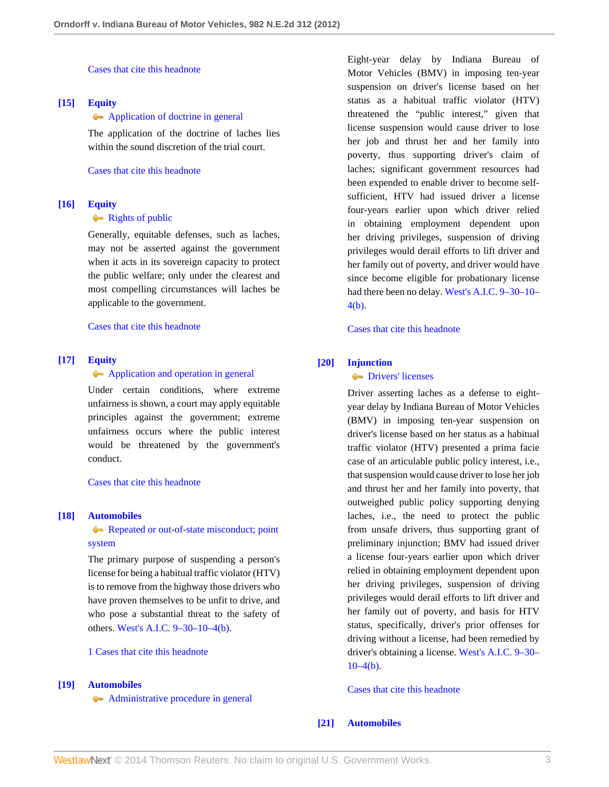[Cases that cite this headnote](http://www.westlaw.com/Link/RelatedInformation/DocHeadnoteLink?docGuid=Ie338149150a711e2900d8cbbe5df030a&headnoteId=202952970101420130529024644&originationContext=document&vr=3.0&rs=cblt1.0&transitionType=CitingReferences&contextData=(sc.Search))

# <span id="page-2-3"></span>**[\[15\]](#page-7-2) [Equity](http://www.westlaw.com/Browse/Home/KeyNumber/150/View.html?docGuid=Ie338149150a711e2900d8cbbe5df030a&originationContext=document&vr=3.0&rs=cblt1.0&transitionType=DocumentItem&contextData=(sc.Search))**

#### [Application of doctrine in general](http://www.westlaw.com/Browse/Home/KeyNumber/150k84/View.html?docGuid=Ie338149150a711e2900d8cbbe5df030a&originationContext=document&vr=3.0&rs=cblt1.0&transitionType=DocumentItem&contextData=(sc.Search))

The application of the doctrine of laches lies within the sound discretion of the trial court.

[Cases that cite this headnote](http://www.westlaw.com/Link/RelatedInformation/DocHeadnoteLink?docGuid=Ie338149150a711e2900d8cbbe5df030a&headnoteId=202952970101520130529024644&originationContext=document&vr=3.0&rs=cblt1.0&transitionType=CitingReferences&contextData=(sc.Search))

### <span id="page-2-4"></span>**[\[16\]](#page-7-3) [Equity](http://www.westlaw.com/Browse/Home/KeyNumber/150/View.html?docGuid=Ie338149150a711e2900d8cbbe5df030a&originationContext=document&vr=3.0&rs=cblt1.0&transitionType=DocumentItem&contextData=(sc.Search))**

### [Rights of public](http://www.westlaw.com/Browse/Home/KeyNumber/150k85/View.html?docGuid=Ie338149150a711e2900d8cbbe5df030a&originationContext=document&vr=3.0&rs=cblt1.0&transitionType=DocumentItem&contextData=(sc.Search))

Generally, equitable defenses, such as laches, may not be asserted against the government when it acts in its sovereign capacity to protect the public welfare; only under the clearest and most compelling circumstances will laches be applicable to the government.

[Cases that cite this headnote](http://www.westlaw.com/Link/RelatedInformation/DocHeadnoteLink?docGuid=Ie338149150a711e2900d8cbbe5df030a&headnoteId=202952970101620130529024644&originationContext=document&vr=3.0&rs=cblt1.0&transitionType=CitingReferences&contextData=(sc.Search))

## <span id="page-2-5"></span>**[\[17\]](#page-7-4) [Equity](http://www.westlaw.com/Browse/Home/KeyNumber/150/View.html?docGuid=Ie338149150a711e2900d8cbbe5df030a&originationContext=document&vr=3.0&rs=cblt1.0&transitionType=DocumentItem&contextData=(sc.Search))**

#### [Application and operation in general](http://www.westlaw.com/Browse/Home/KeyNumber/150k54/View.html?docGuid=Ie338149150a711e2900d8cbbe5df030a&originationContext=document&vr=3.0&rs=cblt1.0&transitionType=DocumentItem&contextData=(sc.Search))

Under certain conditions, where extreme unfairness is shown, a court may apply equitable principles against the government; extreme unfairness occurs where the public interest would be threatened by the government's conduct.

[Cases that cite this headnote](http://www.westlaw.com/Link/RelatedInformation/DocHeadnoteLink?docGuid=Ie338149150a711e2900d8cbbe5df030a&headnoteId=202952970101720130529024644&originationContext=document&vr=3.0&rs=cblt1.0&transitionType=CitingReferences&contextData=(sc.Search))

### <span id="page-2-6"></span>**[\[18\]](#page-7-5) [Automobiles](http://www.westlaw.com/Browse/Home/KeyNumber/48A/View.html?docGuid=Ie338149150a711e2900d8cbbe5df030a&originationContext=document&vr=3.0&rs=cblt1.0&transitionType=DocumentItem&contextData=(sc.Search))**

# [Repeated or out-of-state misconduct; point](http://www.westlaw.com/Browse/Home/KeyNumber/48Ak144.1(3)/View.html?docGuid=Ie338149150a711e2900d8cbbe5df030a&originationContext=document&vr=3.0&rs=cblt1.0&transitionType=DocumentItem&contextData=(sc.Search)) [system](http://www.westlaw.com/Browse/Home/KeyNumber/48Ak144.1(3)/View.html?docGuid=Ie338149150a711e2900d8cbbe5df030a&originationContext=document&vr=3.0&rs=cblt1.0&transitionType=DocumentItem&contextData=(sc.Search))

The primary purpose of suspending a person's license for being a habitual traffic violator (HTV) is to remove from the highway those drivers who have proven themselves to be unfit to drive, and who pose a substantial threat to the safety of others. [West's A.I.C. 9–30–10–4\(b\).](http://www.westlaw.com/Link/Document/FullText?findType=L&pubNum=1000009&cite=INS9-30-10-4&originatingDoc=Ie338149150a711e2900d8cbbe5df030a&refType=SP&originationContext=document&vr=3.0&rs=cblt1.0&transitionType=DocumentItem&contextData=(sc.Search)#co_pp_a83b000018c76)

[1 Cases that cite this headnote](http://www.westlaw.com/Link/RelatedInformation/DocHeadnoteLink?docGuid=Ie338149150a711e2900d8cbbe5df030a&headnoteId=202952970101820130529024644&originationContext=document&vr=3.0&rs=cblt1.0&transitionType=CitingReferences&contextData=(sc.Search))

#### <span id="page-2-0"></span>**[\[19\]](#page-9-0) [Automobiles](http://www.westlaw.com/Browse/Home/KeyNumber/48A/View.html?docGuid=Ie338149150a711e2900d8cbbe5df030a&originationContext=document&vr=3.0&rs=cblt1.0&transitionType=DocumentItem&contextData=(sc.Search))**

[Administrative procedure in general](http://www.westlaw.com/Browse/Home/KeyNumber/48Ak144.2(1)/View.html?docGuid=Ie338149150a711e2900d8cbbe5df030a&originationContext=document&vr=3.0&rs=cblt1.0&transitionType=DocumentItem&contextData=(sc.Search))

Eight-year delay by Indiana Bureau of Motor Vehicles (BMV) in imposing ten-year suspension on driver's license based on her status as a habitual traffic violator (HTV) threatened the "public interest," given that license suspension would cause driver to lose her job and thrust her and her family into poverty, thus supporting driver's claim of laches; significant government resources had been expended to enable driver to become selfsufficient, HTV had issued driver a license four-years earlier upon which driver relied in obtaining employment dependent upon her driving privileges, suspension of driving privileges would derail efforts to lift driver and her family out of poverty, and driver would have since become eligible for probationary license had there been no delay. [West's A.I.C. 9–30–10–](http://www.westlaw.com/Link/Document/FullText?findType=L&pubNum=1000009&cite=INS9-30-10-4&originatingDoc=Ie338149150a711e2900d8cbbe5df030a&refType=SP&originationContext=document&vr=3.0&rs=cblt1.0&transitionType=DocumentItem&contextData=(sc.Search)#co_pp_a83b000018c76) [4\(b\)](http://www.westlaw.com/Link/Document/FullText?findType=L&pubNum=1000009&cite=INS9-30-10-4&originatingDoc=Ie338149150a711e2900d8cbbe5df030a&refType=SP&originationContext=document&vr=3.0&rs=cblt1.0&transitionType=DocumentItem&contextData=(sc.Search)#co_pp_a83b000018c76).

[Cases that cite this headnote](http://www.westlaw.com/Link/RelatedInformation/DocHeadnoteLink?docGuid=Ie338149150a711e2900d8cbbe5df030a&headnoteId=202952970101920130529024644&originationContext=document&vr=3.0&rs=cblt1.0&transitionType=CitingReferences&contextData=(sc.Search))

# <span id="page-2-1"></span>**[\[20\]](#page-9-1) [Injunction](http://www.westlaw.com/Browse/Home/KeyNumber/212/View.html?docGuid=Ie338149150a711e2900d8cbbe5df030a&originationContext=document&vr=3.0&rs=cblt1.0&transitionType=DocumentItem&contextData=(sc.Search))**

# **[Drivers' licenses](http://www.westlaw.com/Browse/Home/KeyNumber/212k1413/View.html?docGuid=Ie338149150a711e2900d8cbbe5df030a&originationContext=document&vr=3.0&rs=cblt1.0&transitionType=DocumentItem&contextData=(sc.Search))**

Driver asserting laches as a defense to eightyear delay by Indiana Bureau of Motor Vehicles (BMV) in imposing ten-year suspension on driver's license based on her status as a habitual traffic violator (HTV) presented a prima facie case of an articulable public policy interest, i.e., that suspension would cause driver to lose her job and thrust her and her family into poverty, that outweighed public policy supporting denying laches, i.e., the need to protect the public from unsafe drivers, thus supporting grant of preliminary injunction; BMV had issued driver a license four-years earlier upon which driver relied in obtaining employment dependent upon her driving privileges, suspension of driving privileges would derail efforts to lift driver and her family out of poverty, and basis for HTV status, specifically, driver's prior offenses for driving without a license, had been remedied by driver's obtaining a license. [West's A.I.C. 9–30–](http://www.westlaw.com/Link/Document/FullText?findType=L&pubNum=1000009&cite=INS9-30-10-4&originatingDoc=Ie338149150a711e2900d8cbbe5df030a&refType=SP&originationContext=document&vr=3.0&rs=cblt1.0&transitionType=DocumentItem&contextData=(sc.Search)#co_pp_a83b000018c76)  $10-4(b)$ .

[Cases that cite this headnote](http://www.westlaw.com/Link/RelatedInformation/DocHeadnoteLink?docGuid=Ie338149150a711e2900d8cbbe5df030a&headnoteId=202952970102020130529024644&originationContext=document&vr=3.0&rs=cblt1.0&transitionType=CitingReferences&contextData=(sc.Search))

#### <span id="page-2-2"></span>**[\[21\]](#page-10-0) [Automobiles](http://www.westlaw.com/Browse/Home/KeyNumber/48A/View.html?docGuid=Ie338149150a711e2900d8cbbe5df030a&originationContext=document&vr=3.0&rs=cblt1.0&transitionType=DocumentItem&contextData=(sc.Search))**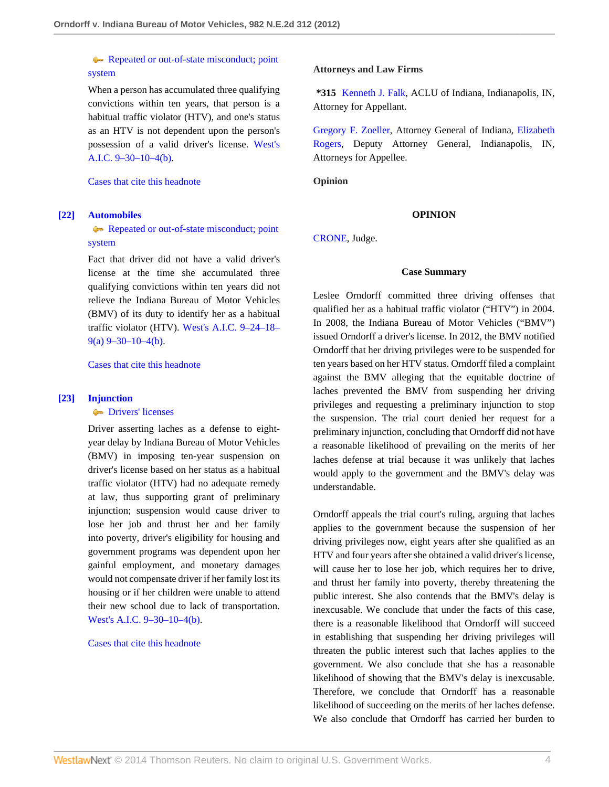[Repeated or out-of-state misconduct; point](http://www.westlaw.com/Browse/Home/KeyNumber/48Ak144.1(3)/View.html?docGuid=Ie338149150a711e2900d8cbbe5df030a&originationContext=document&vr=3.0&rs=cblt1.0&transitionType=DocumentItem&contextData=(sc.Search)) [system](http://www.westlaw.com/Browse/Home/KeyNumber/48Ak144.1(3)/View.html?docGuid=Ie338149150a711e2900d8cbbe5df030a&originationContext=document&vr=3.0&rs=cblt1.0&transitionType=DocumentItem&contextData=(sc.Search))

When a person has accumulated three qualifying convictions within ten years, that person is a habitual traffic violator (HTV), and one's status as an HTV is not dependent upon the person's possession of a valid driver's license. [West's](http://www.westlaw.com/Link/Document/FullText?findType=L&pubNum=1000009&cite=INS9-30-10-4&originatingDoc=Ie338149150a711e2900d8cbbe5df030a&refType=SP&originationContext=document&vr=3.0&rs=cblt1.0&transitionType=DocumentItem&contextData=(sc.Search)#co_pp_a83b000018c76) [A.I.C. 9–30–10–4\(b\)](http://www.westlaw.com/Link/Document/FullText?findType=L&pubNum=1000009&cite=INS9-30-10-4&originatingDoc=Ie338149150a711e2900d8cbbe5df030a&refType=SP&originationContext=document&vr=3.0&rs=cblt1.0&transitionType=DocumentItem&contextData=(sc.Search)#co_pp_a83b000018c76).

[Cases that cite this headnote](http://www.westlaw.com/Link/RelatedInformation/DocHeadnoteLink?docGuid=Ie338149150a711e2900d8cbbe5df030a&headnoteId=202952970102120130529024644&originationContext=document&vr=3.0&rs=cblt1.0&transitionType=CitingReferences&contextData=(sc.Search))

### <span id="page-3-1"></span>**[\[22\]](#page-10-1) [Automobiles](http://www.westlaw.com/Browse/Home/KeyNumber/48A/View.html?docGuid=Ie338149150a711e2900d8cbbe5df030a&originationContext=document&vr=3.0&rs=cblt1.0&transitionType=DocumentItem&contextData=(sc.Search))**

[Repeated or out-of-state misconduct; point](http://www.westlaw.com/Browse/Home/KeyNumber/48Ak144.1(3)/View.html?docGuid=Ie338149150a711e2900d8cbbe5df030a&originationContext=document&vr=3.0&rs=cblt1.0&transitionType=DocumentItem&contextData=(sc.Search)) [system](http://www.westlaw.com/Browse/Home/KeyNumber/48Ak144.1(3)/View.html?docGuid=Ie338149150a711e2900d8cbbe5df030a&originationContext=document&vr=3.0&rs=cblt1.0&transitionType=DocumentItem&contextData=(sc.Search))

Fact that driver did not have a valid driver's license at the time she accumulated three qualifying convictions within ten years did not relieve the Indiana Bureau of Motor Vehicles (BMV) of its duty to identify her as a habitual traffic violator (HTV). [West's A.I.C. 9–24–18–](http://www.westlaw.com/Link/Document/FullText?findType=L&pubNum=1000009&cite=INS9-24-18-9&originatingDoc=Ie338149150a711e2900d8cbbe5df030a&refType=SP&originationContext=document&vr=3.0&rs=cblt1.0&transitionType=DocumentItem&contextData=(sc.Search)#co_pp_8b3b0000958a4)  $9(a)$  [9–30–10–4\(b\).](http://www.westlaw.com/Link/Document/FullText?findType=L&pubNum=1000009&cite=INS9-30-10-4&originatingDoc=Ie338149150a711e2900d8cbbe5df030a&refType=SP&originationContext=document&vr=3.0&rs=cblt1.0&transitionType=DocumentItem&contextData=(sc.Search)#co_pp_a83b000018c76)

[Cases that cite this headnote](http://www.westlaw.com/Link/RelatedInformation/DocHeadnoteLink?docGuid=Ie338149150a711e2900d8cbbe5df030a&headnoteId=202952970102220130529024644&originationContext=document&vr=3.0&rs=cblt1.0&transitionType=CitingReferences&contextData=(sc.Search))

# <span id="page-3-0"></span>**[\[23\]](#page-10-2) [Injunction](http://www.westlaw.com/Browse/Home/KeyNumber/212/View.html?docGuid=Ie338149150a711e2900d8cbbe5df030a&originationContext=document&vr=3.0&rs=cblt1.0&transitionType=DocumentItem&contextData=(sc.Search))**

#### **[Drivers' licenses](http://www.westlaw.com/Browse/Home/KeyNumber/212k1413/View.html?docGuid=Ie338149150a711e2900d8cbbe5df030a&originationContext=document&vr=3.0&rs=cblt1.0&transitionType=DocumentItem&contextData=(sc.Search))**

Driver asserting laches as a defense to eightyear delay by Indiana Bureau of Motor Vehicles (BMV) in imposing ten-year suspension on driver's license based on her status as a habitual traffic violator (HTV) had no adequate remedy at law, thus supporting grant of preliminary injunction; suspension would cause driver to lose her job and thrust her and her family into poverty, driver's eligibility for housing and government programs was dependent upon her gainful employment, and monetary damages would not compensate driver if her family lost its housing or if her children were unable to attend their new school due to lack of transportation. [West's A.I.C. 9–30–10–4\(b\)](http://www.westlaw.com/Link/Document/FullText?findType=L&pubNum=1000009&cite=INS9-30-10-4&originatingDoc=Ie338149150a711e2900d8cbbe5df030a&refType=SP&originationContext=document&vr=3.0&rs=cblt1.0&transitionType=DocumentItem&contextData=(sc.Search)#co_pp_a83b000018c76).

#### [Cases that cite this headnote](http://www.westlaw.com/Link/RelatedInformation/DocHeadnoteLink?docGuid=Ie338149150a711e2900d8cbbe5df030a&headnoteId=202952970102320130529024644&originationContext=document&vr=3.0&rs=cblt1.0&transitionType=CitingReferences&contextData=(sc.Search))

#### **Attorneys and Law Firms**

**\*315** [Kenneth J. Falk,](http://www.westlaw.com/Link/Document/FullText?findType=h&pubNum=176284&cite=0127187701&originatingDoc=Ie338149150a711e2900d8cbbe5df030a&refType=RQ&originationContext=document&vr=3.0&rs=cblt1.0&transitionType=DocumentItem&contextData=(sc.Search)) ACLU of Indiana, Indianapolis, IN, Attorney for Appellant.

[Gregory F. Zoeller](http://www.westlaw.com/Link/Document/FullText?findType=h&pubNum=176284&cite=0136038801&originatingDoc=Ie338149150a711e2900d8cbbe5df030a&refType=RQ&originationContext=document&vr=3.0&rs=cblt1.0&transitionType=DocumentItem&contextData=(sc.Search)), Attorney General of Indiana, [Elizabeth](http://www.westlaw.com/Link/Document/FullText?findType=h&pubNum=176284&cite=0464289701&originatingDoc=Ie338149150a711e2900d8cbbe5df030a&refType=RQ&originationContext=document&vr=3.0&rs=cblt1.0&transitionType=DocumentItem&contextData=(sc.Search)) [Rogers](http://www.westlaw.com/Link/Document/FullText?findType=h&pubNum=176284&cite=0464289701&originatingDoc=Ie338149150a711e2900d8cbbe5df030a&refType=RQ&originationContext=document&vr=3.0&rs=cblt1.0&transitionType=DocumentItem&contextData=(sc.Search)), Deputy Attorney General, Indianapolis, IN, Attorneys for Appellee.

**Opinion**

#### **OPINION**

[CRONE,](http://www.westlaw.com/Link/Document/FullText?findType=h&pubNum=176284&cite=0132363101&originatingDoc=Ie338149150a711e2900d8cbbe5df030a&refType=RQ&originationContext=document&vr=3.0&rs=cblt1.0&transitionType=DocumentItem&contextData=(sc.Search)) Judge.

### **Case Summary**

Leslee Orndorff committed three driving offenses that qualified her as a habitual traffic violator ("HTV") in 2004. In 2008, the Indiana Bureau of Motor Vehicles ("BMV") issued Orndorff a driver's license. In 2012, the BMV notified Orndorff that her driving privileges were to be suspended for ten years based on her HTV status. Orndorff filed a complaint against the BMV alleging that the equitable doctrine of laches prevented the BMV from suspending her driving privileges and requesting a preliminary injunction to stop the suspension. The trial court denied her request for a preliminary injunction, concluding that Orndorff did not have a reasonable likelihood of prevailing on the merits of her laches defense at trial because it was unlikely that laches would apply to the government and the BMV's delay was understandable.

Orndorff appeals the trial court's ruling, arguing that laches applies to the government because the suspension of her driving privileges now, eight years after she qualified as an HTV and four years after she obtained a valid driver's license, will cause her to lose her job, which requires her to drive, and thrust her family into poverty, thereby threatening the public interest. She also contends that the BMV's delay is inexcusable. We conclude that under the facts of this case, there is a reasonable likelihood that Orndorff will succeed in establishing that suspending her driving privileges will threaten the public interest such that laches applies to the government. We also conclude that she has a reasonable likelihood of showing that the BMV's delay is inexcusable. Therefore, we conclude that Orndorff has a reasonable likelihood of succeeding on the merits of her laches defense. We also conclude that Orndorff has carried her burden to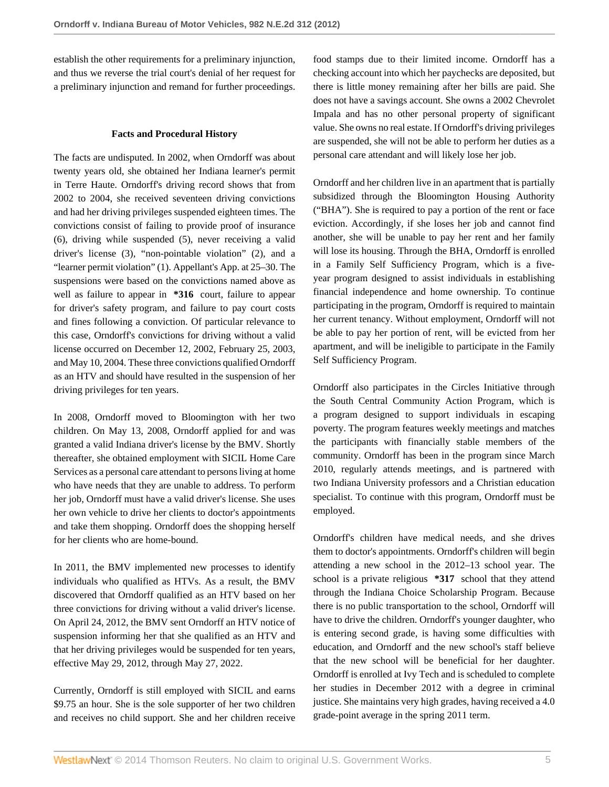establish the other requirements for a preliminary injunction, and thus we reverse the trial court's denial of her request for a preliminary injunction and remand for further proceedings.

### **Facts and Procedural History**

The facts are undisputed. In 2002, when Orndorff was about twenty years old, she obtained her Indiana learner's permit in Terre Haute. Orndorff's driving record shows that from 2002 to 2004, she received seventeen driving convictions and had her driving privileges suspended eighteen times. The convictions consist of failing to provide proof of insurance (6), driving while suspended (5), never receiving a valid driver's license (3), "non-pointable violation" (2), and a "learner permit violation" (1). Appellant's App. at 25–30. The suspensions were based on the convictions named above as well as failure to appear in **\*316** court, failure to appear for driver's safety program, and failure to pay court costs and fines following a conviction. Of particular relevance to this case, Orndorff's convictions for driving without a valid license occurred on December 12, 2002, February 25, 2003, and May 10, 2004. These three convictions qualified Orndorff as an HTV and should have resulted in the suspension of her driving privileges for ten years.

In 2008, Orndorff moved to Bloomington with her two children. On May 13, 2008, Orndorff applied for and was granted a valid Indiana driver's license by the BMV. Shortly thereafter, she obtained employment with SICIL Home Care Services as a personal care attendant to persons living at home who have needs that they are unable to address. To perform her job, Orndorff must have a valid driver's license. She uses her own vehicle to drive her clients to doctor's appointments and take them shopping. Orndorff does the shopping herself for her clients who are home-bound.

In 2011, the BMV implemented new processes to identify individuals who qualified as HTVs. As a result, the BMV discovered that Orndorff qualified as an HTV based on her three convictions for driving without a valid driver's license. On April 24, 2012, the BMV sent Orndorff an HTV notice of suspension informing her that she qualified as an HTV and that her driving privileges would be suspended for ten years, effective May 29, 2012, through May 27, 2022.

Currently, Orndorff is still employed with SICIL and earns \$9.75 an hour. She is the sole supporter of her two children and receives no child support. She and her children receive food stamps due to their limited income. Orndorff has a checking account into which her paychecks are deposited, but there is little money remaining after her bills are paid. She does not have a savings account. She owns a 2002 Chevrolet Impala and has no other personal property of significant value. She owns no real estate. If Orndorff's driving privileges are suspended, she will not be able to perform her duties as a personal care attendant and will likely lose her job.

Orndorff and her children live in an apartment that is partially subsidized through the Bloomington Housing Authority ("BHA"). She is required to pay a portion of the rent or face eviction. Accordingly, if she loses her job and cannot find another, she will be unable to pay her rent and her family will lose its housing. Through the BHA, Orndorff is enrolled in a Family Self Sufficiency Program, which is a fiveyear program designed to assist individuals in establishing financial independence and home ownership. To continue participating in the program, Orndorff is required to maintain her current tenancy. Without employment, Orndorff will not be able to pay her portion of rent, will be evicted from her apartment, and will be ineligible to participate in the Family Self Sufficiency Program.

Orndorff also participates in the Circles Initiative through the South Central Community Action Program, which is a program designed to support individuals in escaping poverty. The program features weekly meetings and matches the participants with financially stable members of the community. Orndorff has been in the program since March 2010, regularly attends meetings, and is partnered with two Indiana University professors and a Christian education specialist. To continue with this program, Orndorff must be employed.

Orndorff's children have medical needs, and she drives them to doctor's appointments. Orndorff's children will begin attending a new school in the 2012–13 school year. The school is a private religious **\*317** school that they attend through the Indiana Choice Scholarship Program. Because there is no public transportation to the school, Orndorff will have to drive the children. Orndorff's younger daughter, who is entering second grade, is having some difficulties with education, and Orndorff and the new school's staff believe that the new school will be beneficial for her daughter. Orndorff is enrolled at Ivy Tech and is scheduled to complete her studies in December 2012 with a degree in criminal justice. She maintains very high grades, having received a 4.0 grade-point average in the spring 2011 term.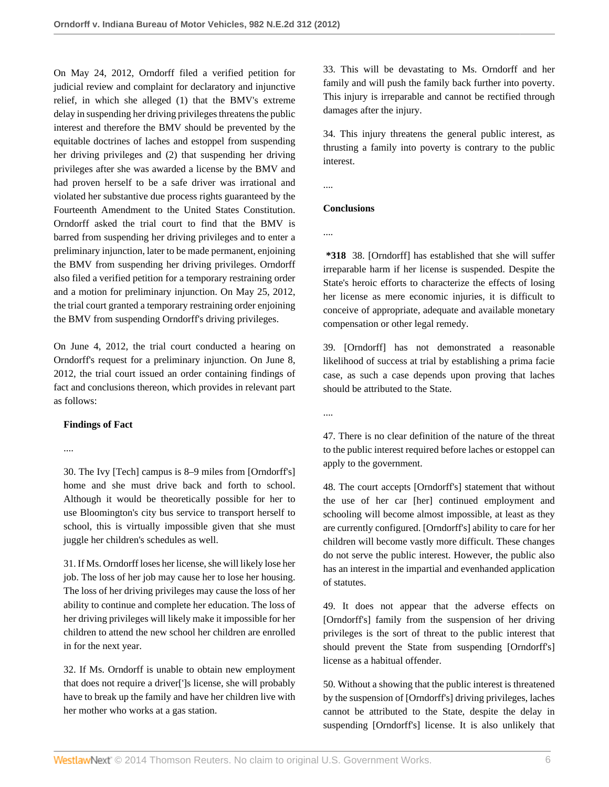On May 24, 2012, Orndorff filed a verified petition for judicial review and complaint for declaratory and injunctive relief, in which she alleged (1) that the BMV's extreme delay in suspending her driving privileges threatens the public interest and therefore the BMV should be prevented by the equitable doctrines of laches and estoppel from suspending her driving privileges and (2) that suspending her driving privileges after she was awarded a license by the BMV and had proven herself to be a safe driver was irrational and violated her substantive due process rights guaranteed by the Fourteenth Amendment to the United States Constitution. Orndorff asked the trial court to find that the BMV is barred from suspending her driving privileges and to enter a preliminary injunction, later to be made permanent, enjoining the BMV from suspending her driving privileges. Orndorff also filed a verified petition for a temporary restraining order and a motion for preliminary injunction. On May 25, 2012, the trial court granted a temporary restraining order enjoining the BMV from suspending Orndorff's driving privileges.

On June 4, 2012, the trial court conducted a hearing on Orndorff's request for a preliminary injunction. On June 8, 2012, the trial court issued an order containing findings of fact and conclusions thereon, which provides in relevant part as follows:

# **Findings of Fact**

....

30. The Ivy [Tech] campus is 8–9 miles from [Orndorff's] home and she must drive back and forth to school. Although it would be theoretically possible for her to use Bloomington's city bus service to transport herself to school, this is virtually impossible given that she must juggle her children's schedules as well.

31. If Ms. Orndorff loses her license, she will likely lose her job. The loss of her job may cause her to lose her housing. The loss of her driving privileges may cause the loss of her ability to continue and complete her education. The loss of her driving privileges will likely make it impossible for her children to attend the new school her children are enrolled in for the next year.

32. If Ms. Orndorff is unable to obtain new employment that does not require a driver[']s license, she will probably have to break up the family and have her children live with her mother who works at a gas station.

33. This will be devastating to Ms. Orndorff and her family and will push the family back further into poverty. This injury is irreparable and cannot be rectified through damages after the injury.

34. This injury threatens the general public interest, as thrusting a family into poverty is contrary to the public interest.

....

# **Conclusions**

....

**\*318** 38. [Orndorff] has established that she will suffer irreparable harm if her license is suspended. Despite the State's heroic efforts to characterize the effects of losing her license as mere economic injuries, it is difficult to conceive of appropriate, adequate and available monetary compensation or other legal remedy.

39. [Orndorff] has not demonstrated a reasonable likelihood of success at trial by establishing a prima facie case, as such a case depends upon proving that laches should be attributed to the State.

....

47. There is no clear definition of the nature of the threat to the public interest required before laches or estoppel can apply to the government.

48. The court accepts [Orndorff's] statement that without the use of her car [her] continued employment and schooling will become almost impossible, at least as they are currently configured. [Orndorff's] ability to care for her children will become vastly more difficult. These changes do not serve the public interest. However, the public also has an interest in the impartial and evenhanded application of statutes.

49. It does not appear that the adverse effects on [Orndorff's] family from the suspension of her driving privileges is the sort of threat to the public interest that should prevent the State from suspending [Orndorff's] license as a habitual offender.

50. Without a showing that the public interest is threatened by the suspension of [Orndorff's] driving privileges, laches cannot be attributed to the State, despite the delay in suspending [Orndorff's] license. It is also unlikely that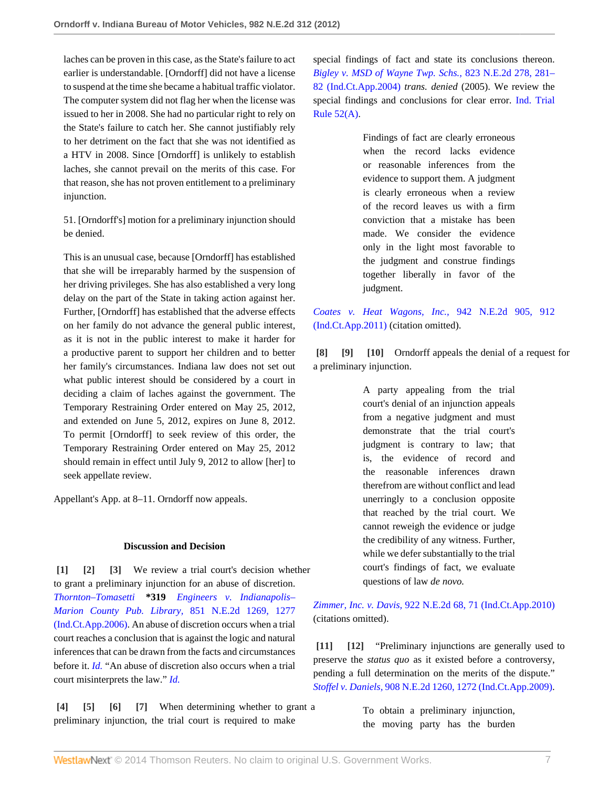laches can be proven in this case, as the State's failure to act earlier is understandable. [Orndorff] did not have a license to suspend at the time she became a habitual traffic violator. The computer system did not flag her when the license was issued to her in 2008. She had no particular right to rely on the State's failure to catch her. She cannot justifiably rely to her detriment on the fact that she was not identified as a HTV in 2008. Since [Orndorff] is unlikely to establish laches, she cannot prevail on the merits of this case. For that reason, she has not proven entitlement to a preliminary injunction.

51. [Orndorff's] motion for a preliminary injunction should be denied.

This is an unusual case, because [Orndorff] has established that she will be irreparably harmed by the suspension of her driving privileges. She has also established a very long delay on the part of the State in taking action against her. Further, [Orndorff] has established that the adverse effects on her family do not advance the general public interest, as it is not in the public interest to make it harder for a productive parent to support her children and to better her family's circumstances. Indiana law does not set out what public interest should be considered by a court in deciding a claim of laches against the government. The Temporary Restraining Order entered on May 25, 2012, and extended on June 5, 2012, expires on June 8, 2012. To permit [Orndorff] to seek review of this order, the Temporary Restraining Order entered on May 25, 2012 should remain in effect until July 9, 2012 to allow [her] to seek appellate review.

Appellant's App. at 8–11. Orndorff now appeals.

# <span id="page-6-2"></span><span id="page-6-1"></span>**Discussion and Decision**

<span id="page-6-0"></span>**[\[1\]](#page-0-0) [\[2](#page-0-1)] [\[3\]](#page-0-2)** We review a trial court's decision whether to grant a preliminary injunction for an abuse of discretion. *Thornton–Tomasetti* **\*319** *[Engineers v. Indianapolis–](http://www.westlaw.com/Link/Document/FullText?findType=Y&serNum=2009718783&pubNum=578&fi=co_pp_sp_578_1277&originationContext=document&vr=3.0&rs=cblt1.0&transitionType=DocumentItem&contextData=(sc.Search)#co_pp_sp_578_1277) [Marion County Pub. Library,](http://www.westlaw.com/Link/Document/FullText?findType=Y&serNum=2009718783&pubNum=578&fi=co_pp_sp_578_1277&originationContext=document&vr=3.0&rs=cblt1.0&transitionType=DocumentItem&contextData=(sc.Search)#co_pp_sp_578_1277)* 851 N.E.2d 1269, 1277 [\(Ind.Ct.App.2006\)](http://www.westlaw.com/Link/Document/FullText?findType=Y&serNum=2009718783&pubNum=578&fi=co_pp_sp_578_1277&originationContext=document&vr=3.0&rs=cblt1.0&transitionType=DocumentItem&contextData=(sc.Search)#co_pp_sp_578_1277). An abuse of discretion occurs when a trial court reaches a conclusion that is against the logic and natural inferences that can be drawn from the facts and circumstances before it. *[Id.](http://www.westlaw.com/Link/Document/FullText?findType=Y&serNum=2009718783&originationContext=document&vr=3.0&rs=cblt1.0&transitionType=DocumentItem&contextData=(sc.Search))* "An abuse of discretion also occurs when a trial court misinterprets the law." *[Id.](http://www.westlaw.com/Link/Document/FullText?findType=Y&serNum=2009718783&originationContext=document&vr=3.0&rs=cblt1.0&transitionType=DocumentItem&contextData=(sc.Search))*

<span id="page-6-6"></span><span id="page-6-5"></span><span id="page-6-4"></span><span id="page-6-3"></span>**[\[4\]](#page-0-3) [\[5\]](#page-0-4) [\[6\]](#page-0-5) [\[7](#page-1-0)]** When determining whether to grant a preliminary injunction, the trial court is required to make

special findings of fact and state its conclusions thereon. *[Bigley v. MSD of Wayne Twp. Schs.,](http://www.westlaw.com/Link/Document/FullText?findType=Y&serNum=2006288785&pubNum=578&fi=co_pp_sp_578_281&originationContext=document&vr=3.0&rs=cblt1.0&transitionType=DocumentItem&contextData=(sc.Search)#co_pp_sp_578_281)* 823 N.E.2d 278, 281– [82 \(Ind.Ct.App.2004\)](http://www.westlaw.com/Link/Document/FullText?findType=Y&serNum=2006288785&pubNum=578&fi=co_pp_sp_578_281&originationContext=document&vr=3.0&rs=cblt1.0&transitionType=DocumentItem&contextData=(sc.Search)#co_pp_sp_578_281) *trans. denied* (2005). We review the special findings and conclusions for clear error. [Ind. Trial](http://www.westlaw.com/Link/Document/FullText?findType=L&pubNum=1000009&cite=INSTRPR52&originatingDoc=Ie338149150a711e2900d8cbbe5df030a&refType=LQ&originationContext=document&vr=3.0&rs=cblt1.0&transitionType=DocumentItem&contextData=(sc.Search)) [Rule 52\(A\)](http://www.westlaw.com/Link/Document/FullText?findType=L&pubNum=1000009&cite=INSTRPR52&originatingDoc=Ie338149150a711e2900d8cbbe5df030a&refType=LQ&originationContext=document&vr=3.0&rs=cblt1.0&transitionType=DocumentItem&contextData=(sc.Search)).

> Findings of fact are clearly erroneous when the record lacks evidence or reasonable inferences from the evidence to support them. A judgment is clearly erroneous when a review of the record leaves us with a firm conviction that a mistake has been made. We consider the evidence only in the light most favorable to the judgment and construe findings together liberally in favor of the judgment.

*[Coates v. Heat Wagons, Inc.,](http://www.westlaw.com/Link/Document/FullText?findType=Y&serNum=2024655070&pubNum=578&fi=co_pp_sp_578_912&originationContext=document&vr=3.0&rs=cblt1.0&transitionType=DocumentItem&contextData=(sc.Search)#co_pp_sp_578_912)* 942 N.E.2d 905, 912 [\(Ind.Ct.App.2011\)](http://www.westlaw.com/Link/Document/FullText?findType=Y&serNum=2024655070&pubNum=578&fi=co_pp_sp_578_912&originationContext=document&vr=3.0&rs=cblt1.0&transitionType=DocumentItem&contextData=(sc.Search)#co_pp_sp_578_912) (citation omitted).

<span id="page-6-7"></span>**[\[8\]](#page-1-1) [\[9\]](#page-1-2) [\[10\]](#page-1-3)** Orndorff appeals the denial of a request for a preliminary injunction.

> <span id="page-6-9"></span><span id="page-6-8"></span>A party appealing from the trial court's denial of an injunction appeals from a negative judgment and must demonstrate that the trial court's judgment is contrary to law; that is, the evidence of record and the reasonable inferences drawn therefrom are without conflict and lead unerringly to a conclusion opposite that reached by the trial court. We cannot reweigh the evidence or judge the credibility of any witness. Further, while we defer substantially to the trial court's findings of fact, we evaluate questions of law *de novo.*

*Zimmer, Inc. v. Davis,* [922 N.E.2d 68, 71 \(Ind.Ct.App.2010\)](http://www.westlaw.com/Link/Document/FullText?findType=Y&serNum=2021414621&pubNum=578&fi=co_pp_sp_578_71&originationContext=document&vr=3.0&rs=cblt1.0&transitionType=DocumentItem&contextData=(sc.Search)#co_pp_sp_578_71) (citations omitted).

<span id="page-6-11"></span><span id="page-6-10"></span>**[\[11\]](#page-1-4) [\[12\]](#page-1-5)** "Preliminary injunctions are generally used to preserve the *status quo* as it existed before a controversy, pending a full determination on the merits of the dispute." *Stoffel v. Daniels,* [908 N.E.2d 1260, 1272 \(Ind.Ct.App.2009\).](http://www.westlaw.com/Link/Document/FullText?findType=Y&serNum=2019367801&pubNum=578&fi=co_pp_sp_578_1272&originationContext=document&vr=3.0&rs=cblt1.0&transitionType=DocumentItem&contextData=(sc.Search)#co_pp_sp_578_1272)

> To obtain a preliminary injunction, the moving party has the burden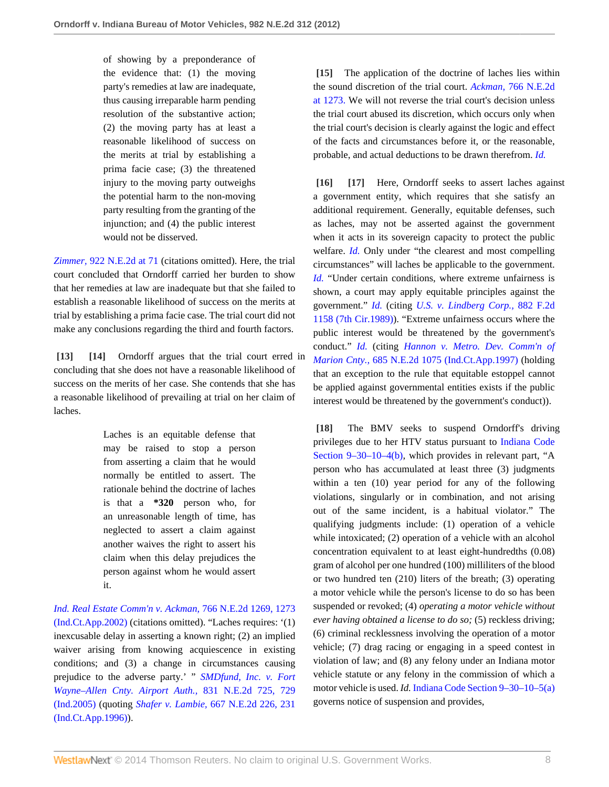of showing by a preponderance of the evidence that: (1) the moving party's remedies at law are inadequate, thus causing irreparable harm pending resolution of the substantive action; (2) the moving party has at least a reasonable likelihood of success on the merits at trial by establishing a prima facie case; (3) the threatened injury to the moving party outweighs the potential harm to the non-moving party resulting from the granting of the injunction; and (4) the public interest would not be disserved.

*Zimmer,* [922 N.E.2d at 71](http://www.westlaw.com/Link/Document/FullText?findType=Y&serNum=2021414621&pubNum=578&fi=co_pp_sp_578_71&originationContext=document&vr=3.0&rs=cblt1.0&transitionType=DocumentItem&contextData=(sc.Search)#co_pp_sp_578_71) (citations omitted). Here, the trial court concluded that Orndorff carried her burden to show that her remedies at law are inadequate but that she failed to establish a reasonable likelihood of success on the merits at trial by establishing a prima facie case. The trial court did not make any conclusions regarding the third and fourth factors.

<span id="page-7-1"></span><span id="page-7-0"></span>**[\[13\]](#page-1-6) [\[14\]](#page-1-7)** Orndorff argues that the trial court erred in concluding that she does not have a reasonable likelihood of success on the merits of her case. She contends that she has a reasonable likelihood of prevailing at trial on her claim of laches.

> Laches is an equitable defense that may be raised to stop a person from asserting a claim that he would normally be entitled to assert. The rationale behind the doctrine of laches is that a **\*320** person who, for an unreasonable length of time, has neglected to assert a claim against another waives the right to assert his claim when this delay prejudices the person against whom he would assert it.

*[Ind. Real Estate Comm'n v. Ackman,](http://www.westlaw.com/Link/Document/FullText?findType=Y&serNum=2002279751&pubNum=578&fi=co_pp_sp_578_1273&originationContext=document&vr=3.0&rs=cblt1.0&transitionType=DocumentItem&contextData=(sc.Search)#co_pp_sp_578_1273)* 766 N.E.2d 1269, 1273 [\(Ind.Ct.App.2002\)](http://www.westlaw.com/Link/Document/FullText?findType=Y&serNum=2002279751&pubNum=578&fi=co_pp_sp_578_1273&originationContext=document&vr=3.0&rs=cblt1.0&transitionType=DocumentItem&contextData=(sc.Search)#co_pp_sp_578_1273) (citations omitted). "Laches requires: '(1) inexcusable delay in asserting a known right; (2) an implied waiver arising from knowing acquiescence in existing conditions; and (3) a change in circumstances causing prejudice to the adverse party.' " *[SMDfund, Inc. v. Fort](http://www.westlaw.com/Link/Document/FullText?findType=Y&serNum=2007066430&pubNum=578&fi=co_pp_sp_578_729&originationContext=document&vr=3.0&rs=cblt1.0&transitionType=DocumentItem&contextData=(sc.Search)#co_pp_sp_578_729) [Wayne–Allen Cnty. Airport Auth.,](http://www.westlaw.com/Link/Document/FullText?findType=Y&serNum=2007066430&pubNum=578&fi=co_pp_sp_578_729&originationContext=document&vr=3.0&rs=cblt1.0&transitionType=DocumentItem&contextData=(sc.Search)#co_pp_sp_578_729)* 831 N.E.2d 725, 729 [\(Ind.2005\)](http://www.westlaw.com/Link/Document/FullText?findType=Y&serNum=2007066430&pubNum=578&fi=co_pp_sp_578_729&originationContext=document&vr=3.0&rs=cblt1.0&transitionType=DocumentItem&contextData=(sc.Search)#co_pp_sp_578_729) (quoting *Shafer v. Lambie,* [667 N.E.2d 226, 231](http://www.westlaw.com/Link/Document/FullText?findType=Y&serNum=1996154779&pubNum=578&fi=co_pp_sp_578_231&originationContext=document&vr=3.0&rs=cblt1.0&transitionType=DocumentItem&contextData=(sc.Search)#co_pp_sp_578_231) [\(Ind.Ct.App.1996\)](http://www.westlaw.com/Link/Document/FullText?findType=Y&serNum=1996154779&pubNum=578&fi=co_pp_sp_578_231&originationContext=document&vr=3.0&rs=cblt1.0&transitionType=DocumentItem&contextData=(sc.Search)#co_pp_sp_578_231)).

<span id="page-7-2"></span>**[\[15\]](#page-2-3)** The application of the doctrine of laches lies within the sound discretion of the trial court. *Ackman,* [766 N.E.2d](http://www.westlaw.com/Link/Document/FullText?findType=Y&serNum=2002279751&pubNum=578&fi=co_pp_sp_578_1273&originationContext=document&vr=3.0&rs=cblt1.0&transitionType=DocumentItem&contextData=(sc.Search)#co_pp_sp_578_1273) [at 1273.](http://www.westlaw.com/Link/Document/FullText?findType=Y&serNum=2002279751&pubNum=578&fi=co_pp_sp_578_1273&originationContext=document&vr=3.0&rs=cblt1.0&transitionType=DocumentItem&contextData=(sc.Search)#co_pp_sp_578_1273) We will not reverse the trial court's decision unless the trial court abused its discretion, which occurs only when the trial court's decision is clearly against the logic and effect of the facts and circumstances before it, or the reasonable, probable, and actual deductions to be drawn therefrom. *[Id.](http://www.westlaw.com/Link/Document/FullText?findType=Y&serNum=2002279751&originationContext=document&vr=3.0&rs=cblt1.0&transitionType=DocumentItem&contextData=(sc.Search))*

<span id="page-7-4"></span><span id="page-7-3"></span>**[\[16\]](#page-2-4) [\[17\]](#page-2-5)** Here, Orndorff seeks to assert laches against a government entity, which requires that she satisfy an additional requirement. Generally, equitable defenses, such as laches, may not be asserted against the government when it acts in its sovereign capacity to protect the public welfare. *[Id.](http://www.westlaw.com/Link/Document/FullText?findType=Y&serNum=2002279751&originationContext=document&vr=3.0&rs=cblt1.0&transitionType=DocumentItem&contextData=(sc.Search))* Only under "the clearest and most compelling circumstances" will laches be applicable to the government. *[Id.](http://www.westlaw.com/Link/Document/FullText?findType=Y&serNum=2002279751&originationContext=document&vr=3.0&rs=cblt1.0&transitionType=DocumentItem&contextData=(sc.Search))* "Under certain conditions, where extreme unfairness is shown, a court may apply equitable principles against the government." *[Id.](http://www.westlaw.com/Link/Document/FullText?findType=Y&serNum=2002279751&originationContext=document&vr=3.0&rs=cblt1.0&transitionType=DocumentItem&contextData=(sc.Search))* (citing *[U.S. v. Lindberg Corp.,](http://www.westlaw.com/Link/Document/FullText?findType=Y&serNum=1989122050&pubNum=350&originationContext=document&vr=3.0&rs=cblt1.0&transitionType=DocumentItem&contextData=(sc.Search))* 882 F.2d [1158 \(7th Cir.1989\)\)](http://www.westlaw.com/Link/Document/FullText?findType=Y&serNum=1989122050&pubNum=350&originationContext=document&vr=3.0&rs=cblt1.0&transitionType=DocumentItem&contextData=(sc.Search)). "Extreme unfairness occurs where the public interest would be threatened by the government's conduct." *[Id.](http://www.westlaw.com/Link/Document/FullText?findType=Y&serNum=2002279751&originationContext=document&vr=3.0&rs=cblt1.0&transitionType=DocumentItem&contextData=(sc.Search))* (citing *[Hannon v. Metro. Dev. Comm'n of](http://www.westlaw.com/Link/Document/FullText?findType=Y&serNum=1997204074&pubNum=578&originationContext=document&vr=3.0&rs=cblt1.0&transitionType=DocumentItem&contextData=(sc.Search)) Marion Cnty.,* [685 N.E.2d 1075 \(Ind.Ct.App.1997\)](http://www.westlaw.com/Link/Document/FullText?findType=Y&serNum=1997204074&pubNum=578&originationContext=document&vr=3.0&rs=cblt1.0&transitionType=DocumentItem&contextData=(sc.Search)) (holding that an exception to the rule that equitable estoppel cannot be applied against governmental entities exists if the public interest would be threatened by the government's conduct)).

<span id="page-7-5"></span>**[\[18\]](#page-2-6)** The BMV seeks to suspend Orndorff's driving privileges due to her HTV status pursuant to [Indiana Code](http://www.westlaw.com/Link/Document/FullText?findType=L&pubNum=1000009&cite=INS9-30-10-4&originatingDoc=Ie338149150a711e2900d8cbbe5df030a&refType=SP&originationContext=document&vr=3.0&rs=cblt1.0&transitionType=DocumentItem&contextData=(sc.Search)#co_pp_a83b000018c76) [Section 9–30–10–4\(b\)](http://www.westlaw.com/Link/Document/FullText?findType=L&pubNum=1000009&cite=INS9-30-10-4&originatingDoc=Ie338149150a711e2900d8cbbe5df030a&refType=SP&originationContext=document&vr=3.0&rs=cblt1.0&transitionType=DocumentItem&contextData=(sc.Search)#co_pp_a83b000018c76), which provides in relevant part, "A person who has accumulated at least three (3) judgments within a ten (10) year period for any of the following violations, singularly or in combination, and not arising out of the same incident, is a habitual violator." The qualifying judgments include: (1) operation of a vehicle while intoxicated; (2) operation of a vehicle with an alcohol concentration equivalent to at least eight-hundredths (0.08) gram of alcohol per one hundred (100) milliliters of the blood or two hundred ten (210) liters of the breath; (3) operating a motor vehicle while the person's license to do so has been suspended or revoked; (4) *operating a motor vehicle without ever having obtained a license to do so;* (5) reckless driving; (6) criminal recklessness involving the operation of a motor vehicle; (7) drag racing or engaging in a speed contest in violation of law; and (8) any felony under an Indiana motor vehicle statute or any felony in the commission of which a motor vehicle is used. *Id.* [Indiana Code Section 9–30–10–5\(a\)](http://www.westlaw.com/Link/Document/FullText?findType=L&pubNum=1000009&cite=INS9-30-10-5&originatingDoc=Ie338149150a711e2900d8cbbe5df030a&refType=SP&originationContext=document&vr=3.0&rs=cblt1.0&transitionType=DocumentItem&contextData=(sc.Search)#co_pp_8b3b0000958a4) governs notice of suspension and provides,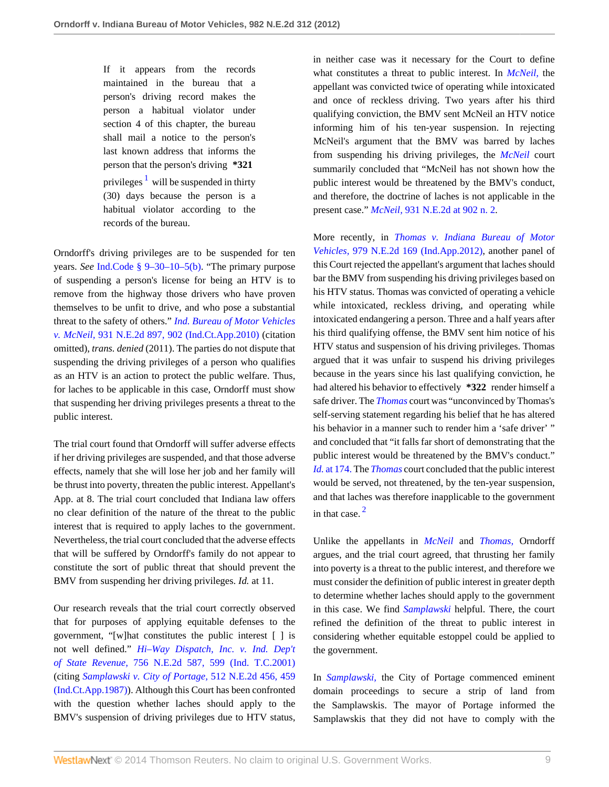<span id="page-8-0"></span>If it appears from the records maintained in the bureau that a person's driving record makes the person a habitual violator under section 4 of this chapter, the bureau shall mail a notice to the person's last known address that informs the person that the person's driving **\*321** privileges <sup>[1](#page-11-0)</sup> will be suspended in thirty (30) days because the person is a habitual violator according to the records of the bureau.

Orndorff's driving privileges are to be suspended for ten years. *See* [Ind.Code § 9–30–10–5\(b\)](http://www.westlaw.com/Link/Document/FullText?findType=L&pubNum=1000009&cite=INS9-30-10-5&originatingDoc=Ie338149150a711e2900d8cbbe5df030a&refType=SP&originationContext=document&vr=3.0&rs=cblt1.0&transitionType=DocumentItem&contextData=(sc.Search)#co_pp_a83b000018c76). "The primary purpose of suspending a person's license for being an HTV is to remove from the highway those drivers who have proven themselves to be unfit to drive, and who pose a substantial threat to the safety of others." *[Ind. Bureau of Motor Vehicles](http://www.westlaw.com/Link/Document/FullText?findType=Y&serNum=2022703596&pubNum=578&fi=co_pp_sp_578_902&originationContext=document&vr=3.0&rs=cblt1.0&transitionType=DocumentItem&contextData=(sc.Search)#co_pp_sp_578_902) v. McNeil,* [931 N.E.2d 897, 902 \(Ind.Ct.App.2010\)](http://www.westlaw.com/Link/Document/FullText?findType=Y&serNum=2022703596&pubNum=578&fi=co_pp_sp_578_902&originationContext=document&vr=3.0&rs=cblt1.0&transitionType=DocumentItem&contextData=(sc.Search)#co_pp_sp_578_902) (citation omitted), *trans. denied* (2011). The parties do not dispute that suspending the driving privileges of a person who qualifies as an HTV is an action to protect the public welfare. Thus, for laches to be applicable in this case, Orndorff must show that suspending her driving privileges presents a threat to the public interest.

The trial court found that Orndorff will suffer adverse effects if her driving privileges are suspended, and that those adverse effects, namely that she will lose her job and her family will be thrust into poverty, threaten the public interest. Appellant's App. at 8. The trial court concluded that Indiana law offers no clear definition of the nature of the threat to the public interest that is required to apply laches to the government. Nevertheless, the trial court concluded that the adverse effects that will be suffered by Orndorff's family do not appear to constitute the sort of public threat that should prevent the BMV from suspending her driving privileges. *Id.* at 11.

Our research reveals that the trial court correctly observed that for purposes of applying equitable defenses to the government, "[w]hat constitutes the public interest [ ] is not well defined." *[Hi–Way Dispatch, Inc. v. Ind. Dep't](http://www.westlaw.com/Link/Document/FullText?findType=Y&serNum=2001749041&pubNum=578&fi=co_pp_sp_578_599&originationContext=document&vr=3.0&rs=cblt1.0&transitionType=DocumentItem&contextData=(sc.Search)#co_pp_sp_578_599) of State Revenue,* [756 N.E.2d 587, 599 \(Ind. T.C.2001\)](http://www.westlaw.com/Link/Document/FullText?findType=Y&serNum=2001749041&pubNum=578&fi=co_pp_sp_578_599&originationContext=document&vr=3.0&rs=cblt1.0&transitionType=DocumentItem&contextData=(sc.Search)#co_pp_sp_578_599) (citing *[Samplawski v. City of Portage,](http://www.westlaw.com/Link/Document/FullText?findType=Y&serNum=1987112555&pubNum=578&fi=co_pp_sp_578_459&originationContext=document&vr=3.0&rs=cblt1.0&transitionType=DocumentItem&contextData=(sc.Search)#co_pp_sp_578_459)* 512 N.E.2d 456, 459 [\(Ind.Ct.App.1987\)](http://www.westlaw.com/Link/Document/FullText?findType=Y&serNum=1987112555&pubNum=578&fi=co_pp_sp_578_459&originationContext=document&vr=3.0&rs=cblt1.0&transitionType=DocumentItem&contextData=(sc.Search)#co_pp_sp_578_459)). Although this Court has been confronted with the question whether laches should apply to the BMV's suspension of driving privileges due to HTV status,

in neither case was it necessary for the Court to define what constitutes a threat to public interest. In *[McNeil,](http://www.westlaw.com/Link/Document/FullText?findType=Y&serNum=2022703596&originationContext=document&vr=3.0&rs=cblt1.0&transitionType=DocumentItem&contextData=(sc.Search))* the appellant was convicted twice of operating while intoxicated and once of reckless driving. Two years after his third qualifying conviction, the BMV sent McNeil an HTV notice informing him of his ten-year suspension. In rejecting McNeil's argument that the BMV was barred by laches from suspending his driving privileges, the *[McNeil](http://www.westlaw.com/Link/Document/FullText?findType=Y&serNum=2022703596&originationContext=document&vr=3.0&rs=cblt1.0&transitionType=DocumentItem&contextData=(sc.Search))* court summarily concluded that "McNeil has not shown how the public interest would be threatened by the BMV's conduct, and therefore, the doctrine of laches is not applicable in the present case." *McNeil,* [931 N.E.2d at 902 n. 2](http://www.westlaw.com/Link/Document/FullText?findType=Y&serNum=2022703596&pubNum=578&fi=co_pp_sp_578_902&originationContext=document&vr=3.0&rs=cblt1.0&transitionType=DocumentItem&contextData=(sc.Search)#co_pp_sp_578_902).

More recently, in *[Thomas v. Indiana Bureau of Motor](http://www.westlaw.com/Link/Document/FullText?findType=Y&serNum=2029292254&pubNum=578&originationContext=document&vr=3.0&rs=cblt1.0&transitionType=DocumentItem&contextData=(sc.Search)) Vehicles,* [979 N.E.2d 169 \(Ind.App.2012\)](http://www.westlaw.com/Link/Document/FullText?findType=Y&serNum=2029292254&pubNum=578&originationContext=document&vr=3.0&rs=cblt1.0&transitionType=DocumentItem&contextData=(sc.Search)), another panel of this Court rejected the appellant's argument that laches should bar the BMV from suspending his driving privileges based on his HTV status. Thomas was convicted of operating a vehicle while intoxicated, reckless driving, and operating while intoxicated endangering a person. Three and a half years after his third qualifying offense, the BMV sent him notice of his HTV status and suspension of his driving privileges. Thomas argued that it was unfair to suspend his driving privileges because in the years since his last qualifying conviction, he had altered his behavior to effectively **\*322** render himself a safe driver. The *[Thomas](http://www.westlaw.com/Link/Document/FullText?findType=Y&serNum=2029292254&originationContext=document&vr=3.0&rs=cblt1.0&transitionType=DocumentItem&contextData=(sc.Search))* court was "unconvinced by Thomas's self-serving statement regarding his belief that he has altered his behavior in a manner such to render him a 'safe driver' " and concluded that "it falls far short of demonstrating that the public interest would be threatened by the BMV's conduct." *Id.* [at 174.](http://www.westlaw.com/Link/Document/FullText?findType=Y&serNum=2029292254&originationContext=document&vr=3.0&rs=cblt1.0&transitionType=DocumentItem&contextData=(sc.Search)) The *[Thomas](http://www.westlaw.com/Link/Document/FullText?findType=Y&serNum=2029292254&originationContext=document&vr=3.0&rs=cblt1.0&transitionType=DocumentItem&contextData=(sc.Search))* court concluded that the public interest would be served, not threatened, by the ten-year suspension, and that laches was therefore inapplicable to the government in that case. [2](#page-11-1)

<span id="page-8-1"></span>Unlike the appellants in *[McNeil](http://www.westlaw.com/Link/Document/FullText?findType=Y&serNum=2022703596&originationContext=document&vr=3.0&rs=cblt1.0&transitionType=DocumentItem&contextData=(sc.Search))* and *[Thomas,](http://www.westlaw.com/Link/Document/FullText?findType=Y&serNum=2029292254&originationContext=document&vr=3.0&rs=cblt1.0&transitionType=DocumentItem&contextData=(sc.Search))* Orndorff argues, and the trial court agreed, that thrusting her family into poverty is a threat to the public interest, and therefore we must consider the definition of public interest in greater depth to determine whether laches should apply to the government in this case. We find *[Samplawski](http://www.westlaw.com/Link/Document/FullText?findType=Y&serNum=1987112555&originationContext=document&vr=3.0&rs=cblt1.0&transitionType=DocumentItem&contextData=(sc.Search))* helpful. There, the court refined the definition of the threat to public interest in considering whether equitable estoppel could be applied to the government.

In *[Samplawski,](http://www.westlaw.com/Link/Document/FullText?findType=Y&serNum=1987112555&originationContext=document&vr=3.0&rs=cblt1.0&transitionType=DocumentItem&contextData=(sc.Search))* the City of Portage commenced eminent domain proceedings to secure a strip of land from the Samplawskis. The mayor of Portage informed the Samplawskis that they did not have to comply with the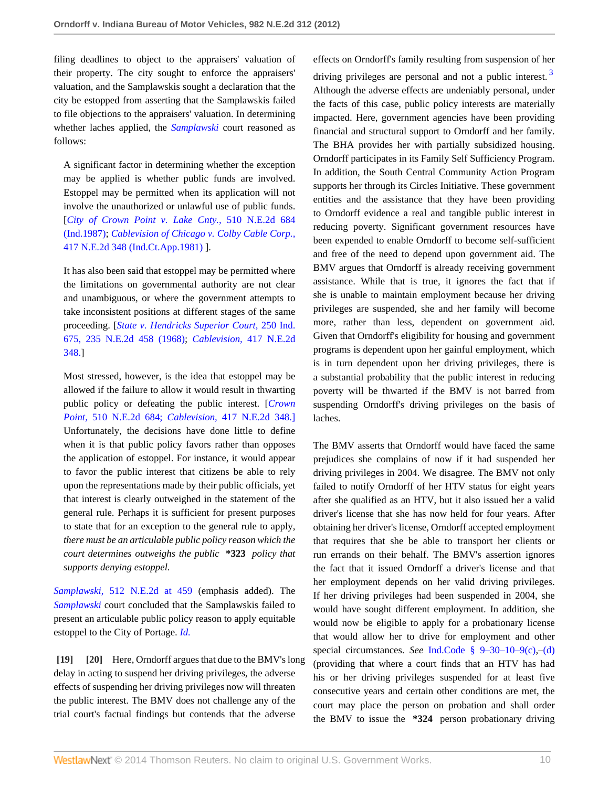filing deadlines to object to the appraisers' valuation of their property. The city sought to enforce the appraisers' valuation, and the Samplawskis sought a declaration that the city be estopped from asserting that the Samplawskis failed to file objections to the appraisers' valuation. In determining whether laches applied, the *[Samplawski](http://www.westlaw.com/Link/Document/FullText?findType=Y&serNum=1987112555&originationContext=document&vr=3.0&rs=cblt1.0&transitionType=DocumentItem&contextData=(sc.Search))* court reasoned as follows:

A significant factor in determining whether the exception may be applied is whether public funds are involved. Estoppel may be permitted when its application will not involve the unauthorized or unlawful use of public funds. [*[City of Crown Point v. Lake Cnty.,](http://www.westlaw.com/Link/Document/FullText?findType=Y&serNum=1987095870&pubNum=578&originationContext=document&vr=3.0&rs=cblt1.0&transitionType=DocumentItem&contextData=(sc.Search))* 510 N.E.2d 684 [\(Ind.1987\)](http://www.westlaw.com/Link/Document/FullText?findType=Y&serNum=1987095870&pubNum=578&originationContext=document&vr=3.0&rs=cblt1.0&transitionType=DocumentItem&contextData=(sc.Search)); *[Cablevision of Chicago v. Colby Cable Corp.,](http://www.westlaw.com/Link/Document/FullText?findType=Y&serNum=1981110158&pubNum=578&originationContext=document&vr=3.0&rs=cblt1.0&transitionType=DocumentItem&contextData=(sc.Search))* [417 N.E.2d 348 \(Ind.Ct.App.1981\)](http://www.westlaw.com/Link/Document/FullText?findType=Y&serNum=1981110158&pubNum=578&originationContext=document&vr=3.0&rs=cblt1.0&transitionType=DocumentItem&contextData=(sc.Search)) ].

It has also been said that estoppel may be permitted where the limitations on governmental authority are not clear and unambiguous, or where the government attempts to take inconsistent positions at different stages of the same proceeding. [*[State v. Hendricks Superior Court,](http://www.westlaw.com/Link/Document/FullText?findType=Y&serNum=1968121020&pubNum=578&originationContext=document&vr=3.0&rs=cblt1.0&transitionType=DocumentItem&contextData=(sc.Search))* 250 Ind. [675, 235 N.E.2d 458 \(1968\);](http://www.westlaw.com/Link/Document/FullText?findType=Y&serNum=1968121020&pubNum=578&originationContext=document&vr=3.0&rs=cblt1.0&transitionType=DocumentItem&contextData=(sc.Search)) *Cablevision,* [417 N.E.2d](http://www.westlaw.com/Link/Document/FullText?findType=Y&serNum=1981110158&pubNum=578&originationContext=document&vr=3.0&rs=cblt1.0&transitionType=DocumentItem&contextData=(sc.Search)) [348.\]](http://www.westlaw.com/Link/Document/FullText?findType=Y&serNum=1981110158&pubNum=578&originationContext=document&vr=3.0&rs=cblt1.0&transitionType=DocumentItem&contextData=(sc.Search))

Most stressed, however, is the idea that estoppel may be allowed if the failure to allow it would result in thwarting public policy or defeating the public interest. [*[Crown](http://www.westlaw.com/Link/Document/FullText?findType=Y&serNum=1987095870&pubNum=578&originationContext=document&vr=3.0&rs=cblt1.0&transitionType=DocumentItem&contextData=(sc.Search)) Point,* [510 N.E.2d 684;](http://www.westlaw.com/Link/Document/FullText?findType=Y&serNum=1987095870&pubNum=578&originationContext=document&vr=3.0&rs=cblt1.0&transitionType=DocumentItem&contextData=(sc.Search)) *Cablevision,* [417 N.E.2d 348.\]](http://www.westlaw.com/Link/Document/FullText?findType=Y&serNum=1981110158&pubNum=578&originationContext=document&vr=3.0&rs=cblt1.0&transitionType=DocumentItem&contextData=(sc.Search)) Unfortunately, the decisions have done little to define when it is that public policy favors rather than opposes the application of estoppel. For instance, it would appear to favor the public interest that citizens be able to rely upon the representations made by their public officials, yet that interest is clearly outweighed in the statement of the general rule. Perhaps it is sufficient for present purposes to state that for an exception to the general rule to apply, *there must be an articulable public policy reason which the court determines outweighs the public* **\*323** *policy that supports denying estoppel.*

*Samplawski,* [512 N.E.2d at 459](http://www.westlaw.com/Link/Document/FullText?findType=Y&serNum=1987112555&pubNum=578&fi=co_pp_sp_578_459&originationContext=document&vr=3.0&rs=cblt1.0&transitionType=DocumentItem&contextData=(sc.Search)#co_pp_sp_578_459) (emphasis added). The *[Samplawski](http://www.westlaw.com/Link/Document/FullText?findType=Y&serNum=1987112555&originationContext=document&vr=3.0&rs=cblt1.0&transitionType=DocumentItem&contextData=(sc.Search))* court concluded that the Samplawskis failed to present an articulable public policy reason to apply equitable estoppel to the City of Portage. *[Id.](http://www.westlaw.com/Link/Document/FullText?findType=Y&serNum=1987112555&originationContext=document&vr=3.0&rs=cblt1.0&transitionType=DocumentItem&contextData=(sc.Search))*

<span id="page-9-1"></span><span id="page-9-0"></span>**[\[19\]](#page-2-0) [\[20\]](#page-2-1)** Here, Orndorff argues that due to the BMV's long delay in acting to suspend her driving privileges, the adverse effects of suspending her driving privileges now will threaten the public interest. The BMV does not challenge any of the trial court's factual findings but contends that the adverse

effects on Orndorff's family resulting from suspension of her

<span id="page-9-2"></span>driving privileges are personal and not a public interest.<sup>[3](#page-11-2)</sup> Although the adverse effects are undeniably personal, under the facts of this case, public policy interests are materially impacted. Here, government agencies have been providing financial and structural support to Orndorff and her family. The BHA provides her with partially subsidized housing. Orndorff participates in its Family Self Sufficiency Program. In addition, the South Central Community Action Program supports her through its Circles Initiative. These government entities and the assistance that they have been providing to Orndorff evidence a real and tangible public interest in reducing poverty. Significant government resources have been expended to enable Orndorff to become self-sufficient and free of the need to depend upon government aid. The BMV argues that Orndorff is already receiving government assistance. While that is true, it ignores the fact that if she is unable to maintain employment because her driving privileges are suspended, she and her family will become more, rather than less, dependent on government aid. Given that Orndorff's eligibility for housing and government programs is dependent upon her gainful employment, which is in turn dependent upon her driving privileges, there is a substantial probability that the public interest in reducing poverty will be thwarted if the BMV is not barred from suspending Orndorff's driving privileges on the basis of laches.

The BMV asserts that Orndorff would have faced the same prejudices she complains of now if it had suspended her driving privileges in 2004. We disagree. The BMV not only failed to notify Orndorff of her HTV status for eight years after she qualified as an HTV, but it also issued her a valid driver's license that she has now held for four years. After obtaining her driver's license, Orndorff accepted employment that requires that she be able to transport her clients or run errands on their behalf. The BMV's assertion ignores the fact that it issued Orndorff a driver's license and that her employment depends on her valid driving privileges. If her driving privileges had been suspended in 2004, she would have sought different employment. In addition, she would now be eligible to apply for a probationary license that would allow her to drive for employment and other special circumstances. *See* [Ind.Code § 9–30–10–9\(c\),](http://www.westlaw.com/Link/Document/FullText?findType=L&pubNum=1000009&cite=INS9-30-10-9&originatingDoc=Ie338149150a711e2900d8cbbe5df030a&refType=SP&originationContext=document&vr=3.0&rs=cblt1.0&transitionType=DocumentItem&contextData=(sc.Search)#co_pp_4b24000003ba5)[–\(d\)](http://www.westlaw.com/Link/Document/FullText?findType=L&pubNum=1000009&cite=INS9-30-10-9&originatingDoc=Ie338149150a711e2900d8cbbe5df030a&refType=SP&originationContext=document&vr=3.0&rs=cblt1.0&transitionType=DocumentItem&contextData=(sc.Search)#co_pp_5ba1000067d06) (providing that where a court finds that an HTV has had his or her driving privileges suspended for at least five consecutive years and certain other conditions are met, the court may place the person on probation and shall order the BMV to issue the **\*324** person probationary driving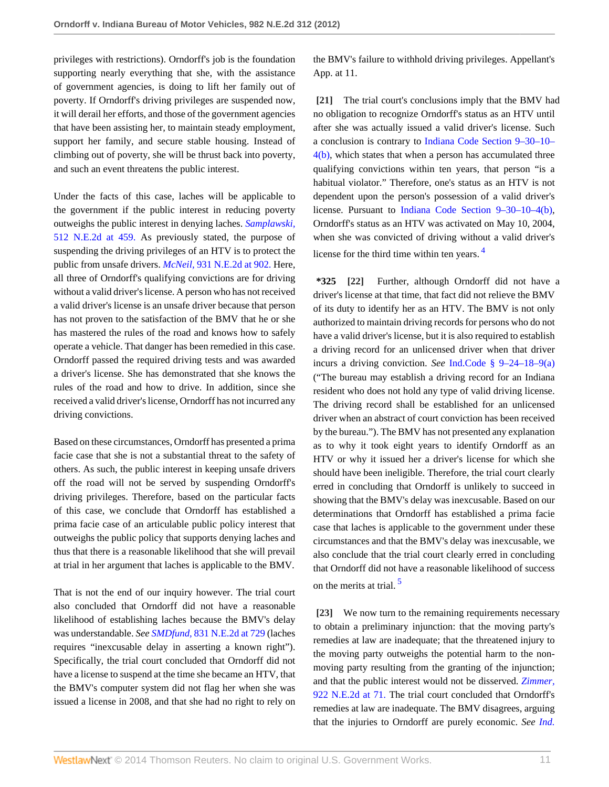privileges with restrictions). Orndorff's job is the foundation supporting nearly everything that she, with the assistance of government agencies, is doing to lift her family out of poverty. If Orndorff's driving privileges are suspended now, it will derail her efforts, and those of the government agencies that have been assisting her, to maintain steady employment, support her family, and secure stable housing. Instead of climbing out of poverty, she will be thrust back into poverty, and such an event threatens the public interest.

Under the facts of this case, laches will be applicable to the government if the public interest in reducing poverty outweighs the public interest in denying laches. *[Samplawski,](http://www.westlaw.com/Link/Document/FullText?findType=Y&serNum=1987112555&pubNum=578&fi=co_pp_sp_578_459&originationContext=document&vr=3.0&rs=cblt1.0&transitionType=DocumentItem&contextData=(sc.Search)#co_pp_sp_578_459)* [512 N.E.2d at 459.](http://www.westlaw.com/Link/Document/FullText?findType=Y&serNum=1987112555&pubNum=578&fi=co_pp_sp_578_459&originationContext=document&vr=3.0&rs=cblt1.0&transitionType=DocumentItem&contextData=(sc.Search)#co_pp_sp_578_459) As previously stated, the purpose of suspending the driving privileges of an HTV is to protect the public from unsafe drivers. *McNeil,* [931 N.E.2d at 902.](http://www.westlaw.com/Link/Document/FullText?findType=Y&serNum=2022703596&pubNum=578&fi=co_pp_sp_578_902&originationContext=document&vr=3.0&rs=cblt1.0&transitionType=DocumentItem&contextData=(sc.Search)#co_pp_sp_578_902) Here, all three of Orndorff's qualifying convictions are for driving without a valid driver's license. A person who has not received a valid driver's license is an unsafe driver because that person has not proven to the satisfaction of the BMV that he or she has mastered the rules of the road and knows how to safely operate a vehicle. That danger has been remedied in this case. Orndorff passed the required driving tests and was awarded a driver's license. She has demonstrated that she knows the rules of the road and how to drive. In addition, since she received a valid driver's license, Orndorff has not incurred any driving convictions.

Based on these circumstances, Orndorff has presented a prima facie case that she is not a substantial threat to the safety of others. As such, the public interest in keeping unsafe drivers off the road will not be served by suspending Orndorff's driving privileges. Therefore, based on the particular facts of this case, we conclude that Orndorff has established a prima facie case of an articulable public policy interest that outweighs the public policy that supports denying laches and thus that there is a reasonable likelihood that she will prevail at trial in her argument that laches is applicable to the BMV.

That is not the end of our inquiry however. The trial court also concluded that Orndorff did not have a reasonable likelihood of establishing laches because the BMV's delay was understandable. *See SMDfund,* [831 N.E.2d at 729](http://www.westlaw.com/Link/Document/FullText?findType=Y&serNum=2007066430&pubNum=578&fi=co_pp_sp_578_729&originationContext=document&vr=3.0&rs=cblt1.0&transitionType=DocumentItem&contextData=(sc.Search)#co_pp_sp_578_729) (laches requires "inexcusable delay in asserting a known right"). Specifically, the trial court concluded that Orndorff did not have a license to suspend at the time she became an HTV, that the BMV's computer system did not flag her when she was issued a license in 2008, and that she had no right to rely on the BMV's failure to withhold driving privileges. Appellant's App. at 11.

<span id="page-10-0"></span>**[\[21\]](#page-2-2)** The trial court's conclusions imply that the BMV had no obligation to recognize Orndorff's status as an HTV until after she was actually issued a valid driver's license. Such a conclusion is contrary to [Indiana Code Section 9–30–10–](http://www.westlaw.com/Link/Document/FullText?findType=L&pubNum=1000009&cite=INS9-30-10-4&originatingDoc=Ie338149150a711e2900d8cbbe5df030a&refType=SP&originationContext=document&vr=3.0&rs=cblt1.0&transitionType=DocumentItem&contextData=(sc.Search)#co_pp_a83b000018c76) [4\(b\),](http://www.westlaw.com/Link/Document/FullText?findType=L&pubNum=1000009&cite=INS9-30-10-4&originatingDoc=Ie338149150a711e2900d8cbbe5df030a&refType=SP&originationContext=document&vr=3.0&rs=cblt1.0&transitionType=DocumentItem&contextData=(sc.Search)#co_pp_a83b000018c76) which states that when a person has accumulated three qualifying convictions within ten years, that person "is a habitual violator." Therefore, one's status as an HTV is not dependent upon the person's possession of a valid driver's license. Pursuant to [Indiana Code Section 9–30–10–4\(b\),](http://www.westlaw.com/Link/Document/FullText?findType=L&pubNum=1000009&cite=INS9-30-10-4&originatingDoc=Ie338149150a711e2900d8cbbe5df030a&refType=SP&originationContext=document&vr=3.0&rs=cblt1.0&transitionType=DocumentItem&contextData=(sc.Search)#co_pp_a83b000018c76) Orndorff's status as an HTV was activated on May 10, 2004, when she was convicted of driving without a valid driver's license for the third time within ten years. [4](#page-11-3)

<span id="page-10-3"></span><span id="page-10-1"></span>**\*325 [\[22\]](#page-3-1)** Further, although Orndorff did not have a driver's license at that time, that fact did not relieve the BMV of its duty to identify her as an HTV. The BMV is not only authorized to maintain driving records for persons who do not have a valid driver's license, but it is also required to establish a driving record for an unlicensed driver when that driver incurs a driving conviction. *See* [Ind.Code § 9–24–18–9\(a\)](http://www.westlaw.com/Link/Document/FullText?findType=L&pubNum=1000009&cite=INS9-24-18-9&originatingDoc=Ie338149150a711e2900d8cbbe5df030a&refType=SP&originationContext=document&vr=3.0&rs=cblt1.0&transitionType=DocumentItem&contextData=(sc.Search)#co_pp_8b3b0000958a4) ("The bureau may establish a driving record for an Indiana resident who does not hold any type of valid driving license. The driving record shall be established for an unlicensed driver when an abstract of court conviction has been received by the bureau."). The BMV has not presented any explanation as to why it took eight years to identify Orndorff as an HTV or why it issued her a driver's license for which she should have been ineligible. Therefore, the trial court clearly erred in concluding that Orndorff is unlikely to succeed in showing that the BMV's delay was inexcusable. Based on our determinations that Orndorff has established a prima facie case that laches is applicable to the government under these circumstances and that the BMV's delay was inexcusable, we also conclude that the trial court clearly erred in concluding that Orndorff did not have a reasonable likelihood of success on the merits at trial. [5](#page-11-4)

<span id="page-10-4"></span><span id="page-10-2"></span>**[\[23\]](#page-3-0)** We now turn to the remaining requirements necessary to obtain a preliminary injunction: that the moving party's remedies at law are inadequate; that the threatened injury to the moving party outweighs the potential harm to the nonmoving party resulting from the granting of the injunction; and that the public interest would not be disserved. *[Zimmer,](http://www.westlaw.com/Link/Document/FullText?findType=Y&serNum=2021414621&pubNum=578&fi=co_pp_sp_578_71&originationContext=document&vr=3.0&rs=cblt1.0&transitionType=DocumentItem&contextData=(sc.Search)#co_pp_sp_578_71)* [922 N.E.2d at 71.](http://www.westlaw.com/Link/Document/FullText?findType=Y&serNum=2021414621&pubNum=578&fi=co_pp_sp_578_71&originationContext=document&vr=3.0&rs=cblt1.0&transitionType=DocumentItem&contextData=(sc.Search)#co_pp_sp_578_71) The trial court concluded that Orndorff's remedies at law are inadequate. The BMV disagrees, arguing that the injuries to Orndorff are purely economic. *See [Ind.](http://www.westlaw.com/Link/Document/FullText?findType=Y&serNum=2002334861&pubNum=578&fi=co_pp_sp_578_162&originationContext=document&vr=3.0&rs=cblt1.0&transitionType=DocumentItem&contextData=(sc.Search)#co_pp_sp_578_162)*